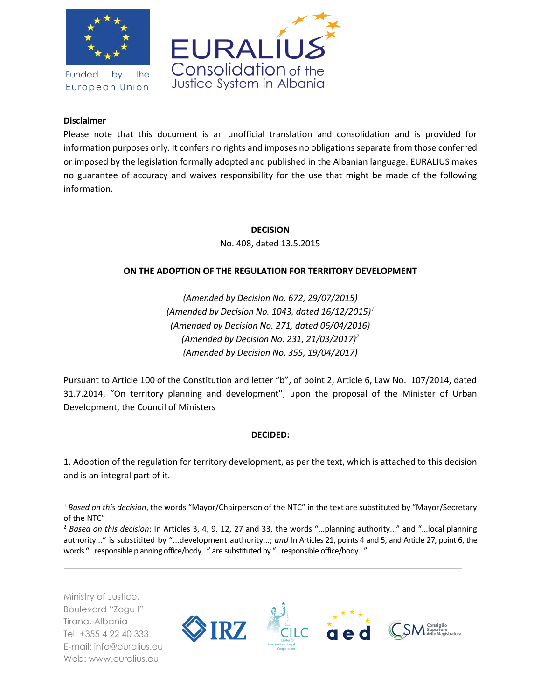

Funded by the European Union



### **Disclaimer**

Please note that this document is an unofficial translation and consolidation and is provided for information purposes only. It confers no rights and imposes no obligations separate from those conferred or imposed by the legislation formally adopted and published in the Albanian language. EURALIUS makes no guarantee of accuracy and waives responsibility for the use that might be made of the following information.

> **DECISION** No. 408, dated 13.5.2015

### **ON THE ADOPTION OF THE REGULATION FOR TERRITORY DEVELOPMENT**

*(Amended by Decision No. 672, 29/07/2015) (Amended by Decision No. 1043, dated 16/12/2015)<sup>1</sup> (Amended by Decision No. 271, dated 06/04/2016) (Amended by Decision No. 231, 21/03/2017)<sup>2</sup> (Amended by Decision No. 355, 19/04/2017)* 

Pursuant to Article 100 of the Constitution and letter "b", of point 2, Article 6, Law No. 107/2014, dated 31.7.2014, "On territory planning and development", upon the proposal of the Minister of Urban Development, the Council of Ministers

### **DECIDED:**

1. Adoption of the regulation for territory development, as per the text, which is attached to this decision and is an integral part of it.

Ministry of Justice, Boulevard "Zogu I" Tirana, Albania Tel: +355 4 22 40 333 E-mail: info@euralius.eu Web: www.euralius.eu

 $\overline{\phantom{a}}$ 



<sup>1</sup> *Based on this decision*, the words "Mayor/Chairperson of the NTC" in the text are substituted by "Mayor/Secretary of the NTC"

<sup>2</sup> *Based on this decision*: In Articles 3, 4, 9, 12, 27 and 33, the words "...planning authority..." and "...local planning authority..." is substitited by "...development authority...; *and* In Articles 21, points 4 and 5, and Article 27, point 6, the words "...responsible planning office/body..." are substituted by "...responsible office/body...".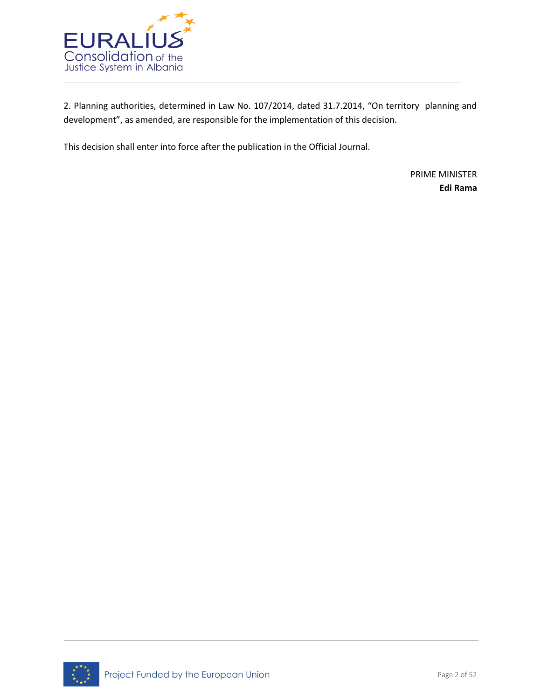

2. Planning authorities, determined in Law No. 107/2014, dated 31.7.2014, "On territory planning and development", as amended, are responsible for the implementation of this decision.

This decision shall enter into force after the publication in the Official Journal.

PRIME MINISTER **Edi Rama**

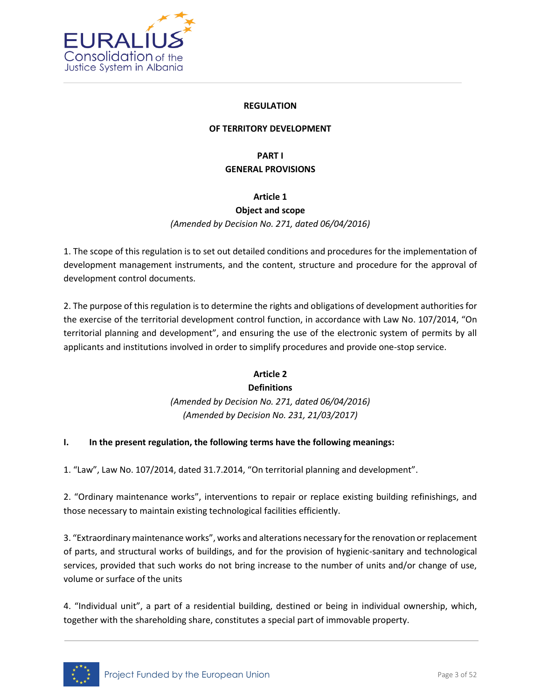

#### **REGULATION**

### **OF TERRITORY DEVELOPMENT**

### **PART I GENERAL PROVISIONS**

### **Article 1**

### **Object and scope**

*(Amended by Decision No. 271, dated 06/04/2016)*

1. The scope of this regulation is to set out detailed conditions and procedures for the implementation of development management instruments, and the content, structure and procedure for the approval of development control documents.

2. The purpose of this regulation is to determine the rights and obligations of development authorities for the exercise of the territorial development control function, in accordance with Law No. 107/2014, "On territorial planning and development", and ensuring the use of the electronic system of permits by all applicants and institutions involved in order to simplify procedures and provide one-stop service.

### **Article 2**

### **Definitions**

*(Amended by Decision No. 271, dated 06/04/2016) (Amended by Decision No. 231, 21/03/2017)*

### **I. In the present regulation, the following terms have the following meanings:**

1. "Law", Law No. 107/2014, dated 31.7.2014, "On territorial planning and development".

2. "Ordinary maintenance works", interventions to repair or replace existing building refinishings, and those necessary to maintain existing technological facilities efficiently.

3. "Extraordinary maintenance works", works and alterations necessary for the renovation or replacement of parts, and structural works of buildings, and for the provision of hygienic-sanitary and technological services, provided that such works do not bring increase to the number of units and/or change of use, volume or surface of the units

4. "Individual unit", a part of a residential building, destined or being in individual ownership, which, together with the shareholding share, constitutes a special part of immovable property.

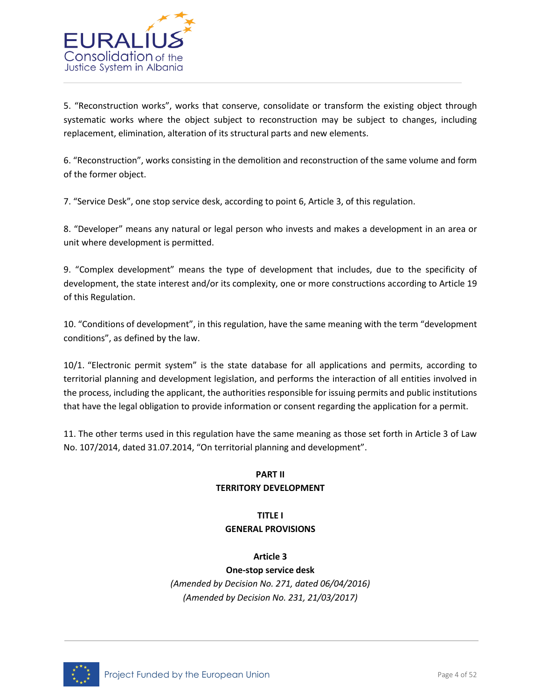

5. "Reconstruction works", works that conserve, consolidate or transform the existing object through systematic works where the object subject to reconstruction may be subject to changes, including replacement, elimination, alteration of its structural parts and new elements.

6. "Reconstruction", works consisting in the demolition and reconstruction of the same volume and form of the former object.

7. "Service Desk", one stop service desk, according to point 6, Article 3, of this regulation.

8. "Developer" means any natural or legal person who invests and makes a development in an area or unit where development is permitted.

9. "Complex development" means the type of development that includes, due to the specificity of development, the state interest and/or its complexity, one or more constructions according to Article 19 of this Regulation.

10. "Conditions of development", in this regulation, have the same meaning with the term "development conditions", as defined by the law.

10/1. "Electronic permit system" is the state database for all applications and permits, according to territorial planning and development legislation, and performs the interaction of all entities involved in the process, including the applicant, the authorities responsible for issuing permits and public institutions that have the legal obligation to provide information or consent regarding the application for a permit.

11. The other terms used in this regulation have the same meaning as those set forth in Article 3 of Law No. 107/2014, dated 31.07.2014, "On territorial planning and development".

### **PART II TERRITORY DEVELOPMENT**

# **TITLE I GENERAL PROVISIONS**

**Article 3**

**One-stop service desk** *(Amended by Decision No. 271, dated 06/04/2016) (Amended by Decision No. 231, 21/03/2017)*

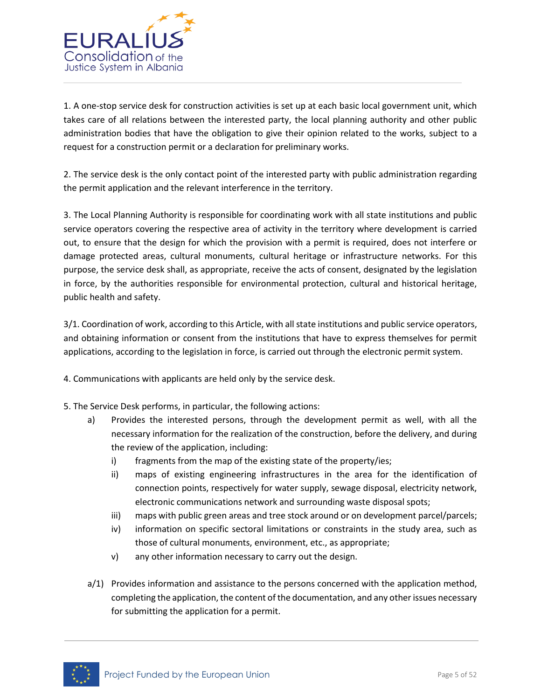

1. A one-stop service desk for construction activities is set up at each basic local government unit, which takes care of all relations between the interested party, the local planning authority and other public administration bodies that have the obligation to give their opinion related to the works, subject to a request for a construction permit or a declaration for preliminary works.

2. The service desk is the only contact point of the interested party with public administration regarding the permit application and the relevant interference in the territory.

3. The Local Planning Authority is responsible for coordinating work with all state institutions and public service operators covering the respective area of activity in the territory where development is carried out, to ensure that the design for which the provision with a permit is required, does not interfere or damage protected areas, cultural monuments, cultural heritage or infrastructure networks. For this purpose, the service desk shall, as appropriate, receive the acts of consent, designated by the legislation in force, by the authorities responsible for environmental protection, cultural and historical heritage, public health and safety.

3/1. Coordination of work, according to this Article, with all state institutions and public service operators, and obtaining information or consent from the institutions that have to express themselves for permit applications, according to the legislation in force, is carried out through the electronic permit system.

4. Communications with applicants are held only by the service desk.

- 5. The Service Desk performs, in particular, the following actions:
	- a) Provides the interested persons, through the development permit as well, with all the necessary information for the realization of the construction, before the delivery, and during the review of the application, including:
		- i) fragments from the map of the existing state of the property/ies;
		- ii) maps of existing engineering infrastructures in the area for the identification of connection points, respectively for water supply, sewage disposal, electricity network, electronic communications network and surrounding waste disposal spots;
		- iii) maps with public green areas and tree stock around or on development parcel/parcels;
		- iv) information on specific sectoral limitations or constraints in the study area, such as those of cultural monuments, environment, etc., as appropriate;
		- v) any other information necessary to carry out the design.
	- a/1) Provides information and assistance to the persons concerned with the application method, completing the application, the content of the documentation, and any other issues necessary for submitting the application for a permit.

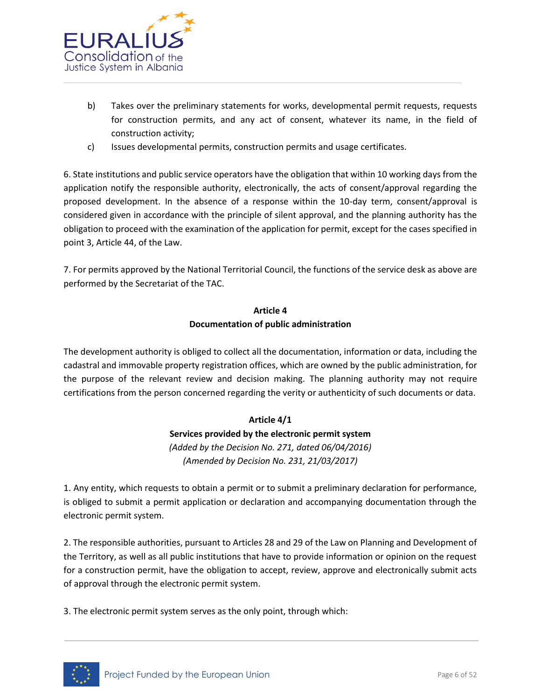

- b) Takes over the preliminary statements for works, developmental permit requests, requests for construction permits, and any act of consent, whatever its name, in the field of construction activity;
- c) Issues developmental permits, construction permits and usage certificates.

6. State institutions and public service operators have the obligation that within 10 working days from the application notify the responsible authority, electronically, the acts of consent/approval regarding the proposed development. In the absence of a response within the 10-day term, consent/approval is considered given in accordance with the principle of silent approval, and the planning authority has the obligation to proceed with the examination of the application for permit, except for the cases specified in point 3, Article 44, of the Law.

7. For permits approved by the National Territorial Council, the functions of the service desk as above are performed by the Secretariat of the TAC.

### **Article 4 Documentation of public administration**

The development authority is obliged to collect all the documentation, information or data, including the cadastral and immovable property registration offices, which are owned by the public administration, for the purpose of the relevant review and decision making. The planning authority may not require certifications from the person concerned regarding the verity or authenticity of such documents or data.

### **Article 4/1**

**Services provided by the electronic permit system** *(Added by the Decision No. 271, dated 06/04/2016) (Amended by Decision No. 231, 21/03/2017)*

1. Any entity, which requests to obtain a permit or to submit a preliminary declaration for performance, is obliged to submit a permit application or declaration and accompanying documentation through the electronic permit system.

2. The responsible authorities, pursuant to Articles 28 and 29 of the Law on Planning and Development of the Territory, as well as all public institutions that have to provide information or opinion on the request for a construction permit, have the obligation to accept, review, approve and electronically submit acts of approval through the electronic permit system.

3. The electronic permit system serves as the only point, through which:

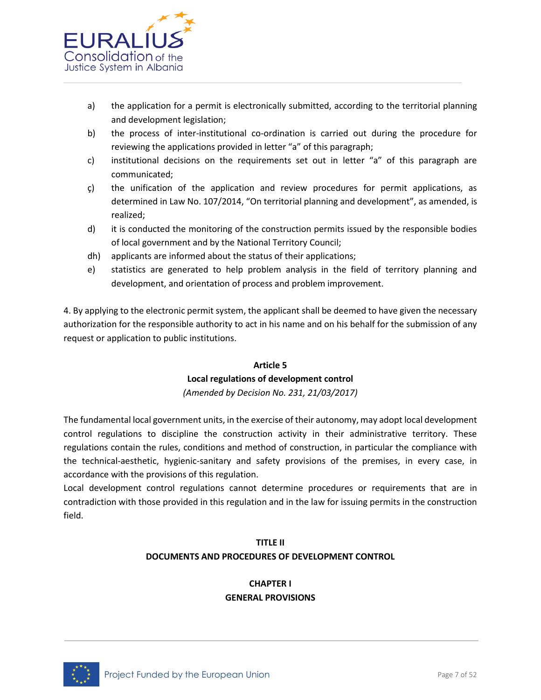

- a) the application for a permit is electronically submitted, according to the territorial planning and development legislation;
- b) the process of inter-institutional co-ordination is carried out during the procedure for reviewing the applications provided in letter "a" of this paragraph;
- c) institutional decisions on the requirements set out in letter "a" of this paragraph are communicated;
- ç) the unification of the application and review procedures for permit applications, as determined in Law No. 107/2014, "On territorial planning and development", as amended, is realized;
- d) it is conducted the monitoring of the construction permits issued by the responsible bodies of local government and by the National Territory Council;
- dh) applicants are informed about the status of their applications;
- e) statistics are generated to help problem analysis in the field of territory planning and development, and orientation of process and problem improvement.

4. By applying to the electronic permit system, the applicant shall be deemed to have given the necessary authorization for the responsible authority to act in his name and on his behalf for the submission of any request or application to public institutions.

# **Article 5 Local regulations of development control**

*(Amended by Decision No. 231, 21/03/2017)*

The fundamental local government units, in the exercise of their autonomy, may adopt local development control regulations to discipline the construction activity in their administrative territory. These regulations contain the rules, conditions and method of construction, in particular the compliance with the technical-aesthetic, hygienic-sanitary and safety provisions of the premises, in every case, in accordance with the provisions of this regulation.

Local development control regulations cannot determine procedures or requirements that are in contradiction with those provided in this regulation and in the law for issuing permits in the construction field.

# **TITLE II DOCUMENTS AND PROCEDURES OF DEVELOPMENT CONTROL**

### **CHAPTER I GENERAL PROVISIONS**

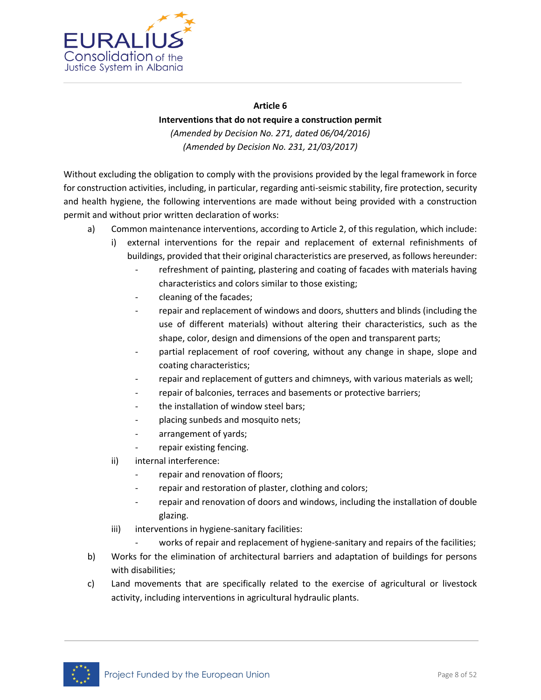

#### **Article 6**

### **Interventions that do not require a construction permit**

*(Amended by Decision No. 271, dated 06/04/2016) (Amended by Decision No. 231, 21/03/2017)*

Without excluding the obligation to comply with the provisions provided by the legal framework in force for construction activities, including, in particular, regarding anti-seismic stability, fire protection, security and health hygiene, the following interventions are made without being provided with a construction permit and without prior written declaration of works:

- a) Common maintenance interventions, according to Article 2, of this regulation, which include:
	- i) external interventions for the repair and replacement of external refinishments of buildings, provided that their original characteristics are preserved, as follows hereunder:
		- refreshment of painting, plastering and coating of facades with materials having characteristics and colors similar to those existing;
		- cleaning of the facades;
		- repair and replacement of windows and doors, shutters and blinds (including the use of different materials) without altering their characteristics, such as the shape, color, design and dimensions of the open and transparent parts;
		- partial replacement of roof covering, without any change in shape, slope and coating characteristics;
		- repair and replacement of gutters and chimneys, with various materials as well;
		- repair of balconies, terraces and basements or protective barriers;
		- the installation of window steel bars;
		- placing sunbeds and mosquito nets;
		- arrangement of yards;
		- repair existing fencing.
	- ii) internal interference:
		- repair and renovation of floors;
		- repair and restoration of plaster, clothing and colors;
		- repair and renovation of doors and windows, including the installation of double glazing.
	- iii) interventions in hygiene-sanitary facilities:
		- works of repair and replacement of hygiene-sanitary and repairs of the facilities;
- b) Works for the elimination of architectural barriers and adaptation of buildings for persons with disabilities;
- c) Land movements that are specifically related to the exercise of agricultural or livestock activity, including interventions in agricultural hydraulic plants.

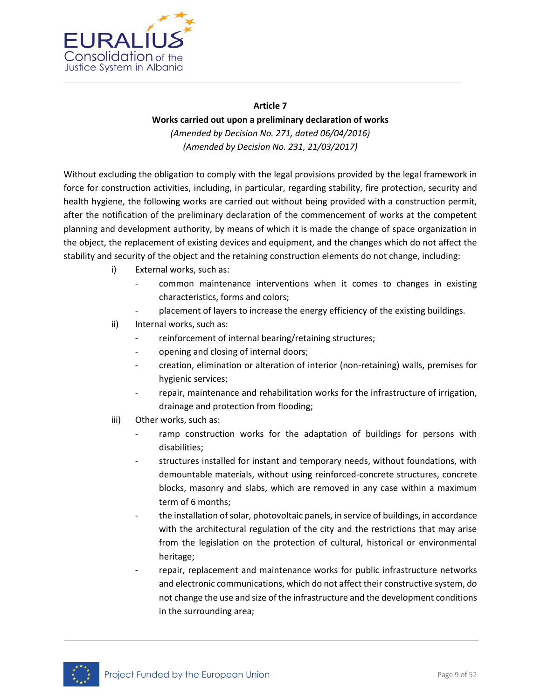

# **Article 7 Works carried out upon a preliminary declaration of works** *(Amended by Decision No. 271, dated 06/04/2016) (Amended by Decision No. 231, 21/03/2017)*

Without excluding the obligation to comply with the legal provisions provided by the legal framework in force for construction activities, including, in particular, regarding stability, fire protection, security and health hygiene, the following works are carried out without being provided with a construction permit, after the notification of the preliminary declaration of the commencement of works at the competent planning and development authority, by means of which it is made the change of space organization in the object, the replacement of existing devices and equipment, and the changes which do not affect the stability and security of the object and the retaining construction elements do not change, including:

- i) External works, such as:
	- common maintenance interventions when it comes to changes in existing characteristics, forms and colors;
	- placement of layers to increase the energy efficiency of the existing buildings.
- ii) Internal works, such as:
	- reinforcement of internal bearing/retaining structures;
	- opening and closing of internal doors;
	- creation, elimination or alteration of interior (non-retaining) walls, premises for hygienic services;
	- repair, maintenance and rehabilitation works for the infrastructure of irrigation, drainage and protection from flooding;
- iii) Other works, such as:
	- ramp construction works for the adaptation of buildings for persons with disabilities;
	- structures installed for instant and temporary needs, without foundations, with demountable materials, without using reinforced-concrete structures, concrete blocks, masonry and slabs, which are removed in any case within a maximum term of 6 months;
	- the installation of solar, photovoltaic panels, in service of buildings, in accordance with the architectural regulation of the city and the restrictions that may arise from the legislation on the protection of cultural, historical or environmental heritage;
	- repair, replacement and maintenance works for public infrastructure networks and electronic communications, which do not affect their constructive system, do not change the use and size of the infrastructure and the development conditions in the surrounding area;

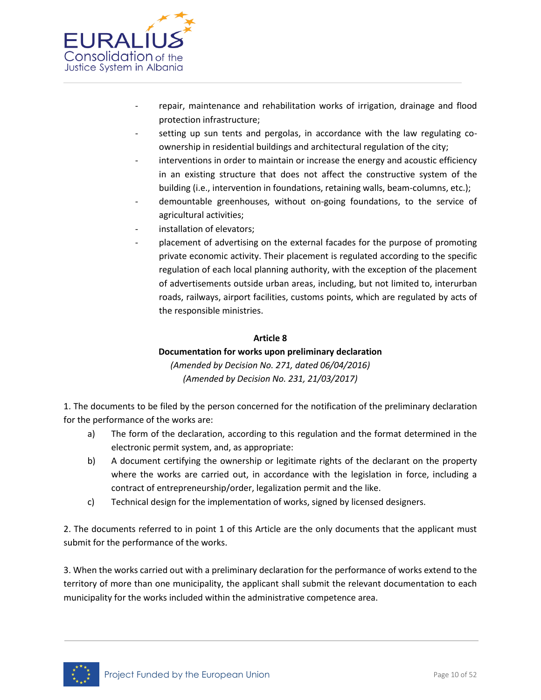

- repair, maintenance and rehabilitation works of irrigation, drainage and flood protection infrastructure;
- setting up sun tents and pergolas, in accordance with the law regulating coownership in residential buildings and architectural regulation of the city;
- interventions in order to maintain or increase the energy and acoustic efficiency in an existing structure that does not affect the constructive system of the building (i.e., intervention in foundations, retaining walls, beam-columns, etc.);
- demountable greenhouses, without on-going foundations, to the service of agricultural activities;
- installation of elevators;
- placement of advertising on the external facades for the purpose of promoting private economic activity. Their placement is regulated according to the specific regulation of each local planning authority, with the exception of the placement of advertisements outside urban areas, including, but not limited to, interurban roads, railways, airport facilities, customs points, which are regulated by acts of the responsible ministries.

### **Article 8**

### **Documentation for works upon preliminary declaration**

*(Amended by Decision No. 271, dated 06/04/2016) (Amended by Decision No. 231, 21/03/2017)*

1. The documents to be filed by the person concerned for the notification of the preliminary declaration for the performance of the works are:

- a) The form of the declaration, according to this regulation and the format determined in the electronic permit system, and, as appropriate:
- b) A document certifying the ownership or legitimate rights of the declarant on the property where the works are carried out, in accordance with the legislation in force, including a contract of entrepreneurship/order, legalization permit and the like.
- c) Technical design for the implementation of works, signed by licensed designers.

2. The documents referred to in point 1 of this Article are the only documents that the applicant must submit for the performance of the works.

3. When the works carried out with a preliminary declaration for the performance of works extend to the territory of more than one municipality, the applicant shall submit the relevant documentation to each municipality for the works included within the administrative competence area.

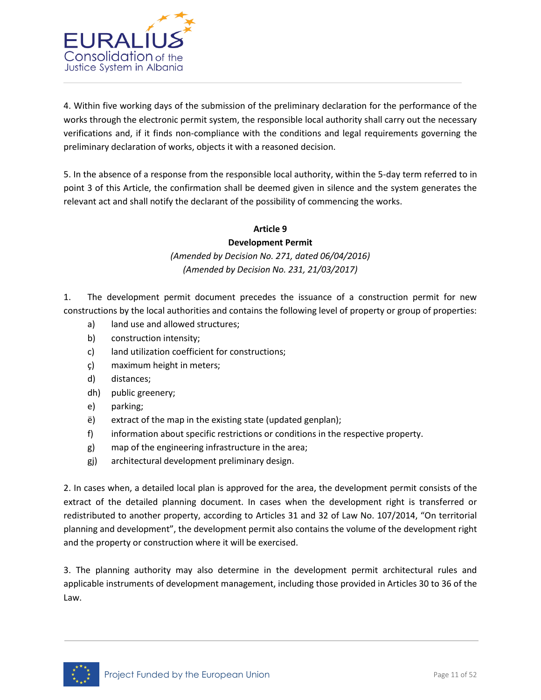

4. Within five working days of the submission of the preliminary declaration for the performance of the works through the electronic permit system, the responsible local authority shall carry out the necessary verifications and, if it finds non-compliance with the conditions and legal requirements governing the preliminary declaration of works, objects it with a reasoned decision.

5. In the absence of a response from the responsible local authority, within the 5-day term referred to in point 3 of this Article, the confirmation shall be deemed given in silence and the system generates the relevant act and shall notify the declarant of the possibility of commencing the works.

### **Article 9**

### **Development Permit**

*(Amended by Decision No. 271, dated 06/04/2016) (Amended by Decision No. 231, 21/03/2017)*

1. The development permit document precedes the issuance of a construction permit for new constructions by the local authorities and contains the following level of property or group of properties:

- a) land use and allowed structures;
- b) construction intensity;
- c) land utilization coefficient for constructions;
- ç) maximum height in meters;
- d) distances;
- dh) public greenery;
- e) parking;
- ë) extract of the map in the existing state (updated genplan);
- f) information about specific restrictions or conditions in the respective property.
- g) map of the engineering infrastructure in the area;
- gj) architectural development preliminary design.

2. In cases when, a detailed local plan is approved for the area, the development permit consists of the extract of the detailed planning document. In cases when the development right is transferred or redistributed to another property, according to Articles 31 and 32 of Law No. 107/2014, "On territorial planning and development", the development permit also contains the volume of the development right and the property or construction where it will be exercised.

3. The planning authority may also determine in the development permit architectural rules and applicable instruments of development management, including those provided in Articles 30 to 36 of the Law.

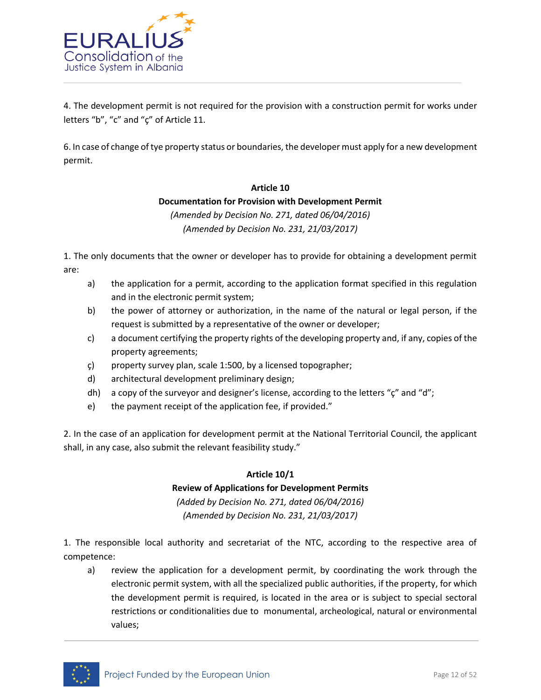

4. The development permit is not required for the provision with a construction permit for works under letters "b", "c" and "ç" of Article 11.

6. In case of change of tye property status or boundaries, the developer must apply for a new development permit.

#### **Article 10**

### **Documentation for Provision with Development Permit**

*(Amended by Decision No. 271, dated 06/04/2016) (Amended by Decision No. 231, 21/03/2017)*

1. The only documents that the owner or developer has to provide for obtaining a development permit are:

- a) the application for a permit, according to the application format specified in this regulation and in the electronic permit system;
- b) the power of attorney or authorization, in the name of the natural or legal person, if the request is submitted by a representative of the owner or developer;
- c) a document certifying the property rights of the developing property and, if any, copies of the property agreements;
- ç) property survey plan, scale 1:500, by a licensed topographer;
- d) architectural development preliminary design;
- dh) a copy of the surveyor and designer's license, according to the letters " $\zeta$ " and "d";
- e) the payment receipt of the application fee, if provided."

2. In the case of an application for development permit at the National Territorial Council, the applicant shall, in any case, also submit the relevant feasibility study."

### **Article 10/1**

### **Review of Applications for Development Permits**

*(Added by Decision No. 271, dated 06/04/2016) (Amended by Decision No. 231, 21/03/2017)*

1. The responsible local authority and secretariat of the NTC, according to the respective area of competence:

a) review the application for a development permit, by coordinating the work through the electronic permit system, with all the specialized public authorities, if the property, for which the development permit is required, is located in the area or is subject to special sectoral restrictions or conditionalities due to monumental, archeological, natural or environmental values;

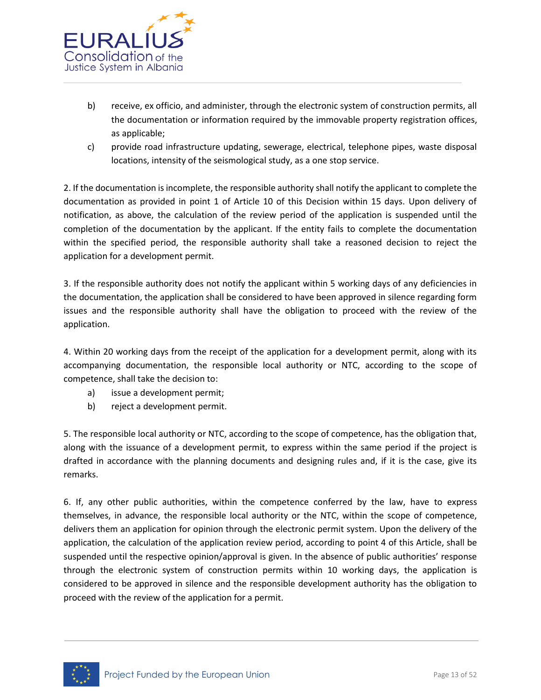

- b) receive, ex officio, and administer, through the electronic system of construction permits, all the documentation or information required by the immovable property registration offices, as applicable;
- c) provide road infrastructure updating, sewerage, electrical, telephone pipes, waste disposal locations, intensity of the seismological study, as a one stop service.

2. If the documentation is incomplete, the responsible authority shall notify the applicant to complete the documentation as provided in point 1 of Article 10 of this Decision within 15 days. Upon delivery of notification, as above, the calculation of the review period of the application is suspended until the completion of the documentation by the applicant. If the entity fails to complete the documentation within the specified period, the responsible authority shall take a reasoned decision to reject the application for a development permit.

3. If the responsible authority does not notify the applicant within 5 working days of any deficiencies in the documentation, the application shall be considered to have been approved in silence regarding form issues and the responsible authority shall have the obligation to proceed with the review of the application.

4. Within 20 working days from the receipt of the application for a development permit, along with its accompanying documentation, the responsible local authority or NTC, according to the scope of competence, shall take the decision to:

- a) issue a development permit;
- b) reject a development permit.

5. The responsible local authority or NTC, according to the scope of competence, has the obligation that, along with the issuance of a development permit, to express within the same period if the project is drafted in accordance with the planning documents and designing rules and, if it is the case, give its remarks.

6. If, any other public authorities, within the competence conferred by the law, have to express themselves, in advance, the responsible local authority or the NTC, within the scope of competence, delivers them an application for opinion through the electronic permit system. Upon the delivery of the application, the calculation of the application review period, according to point 4 of this Article, shall be suspended until the respective opinion/approval is given. In the absence of public authorities' response through the electronic system of construction permits within 10 working days, the application is considered to be approved in silence and the responsible development authority has the obligation to proceed with the review of the application for a permit.

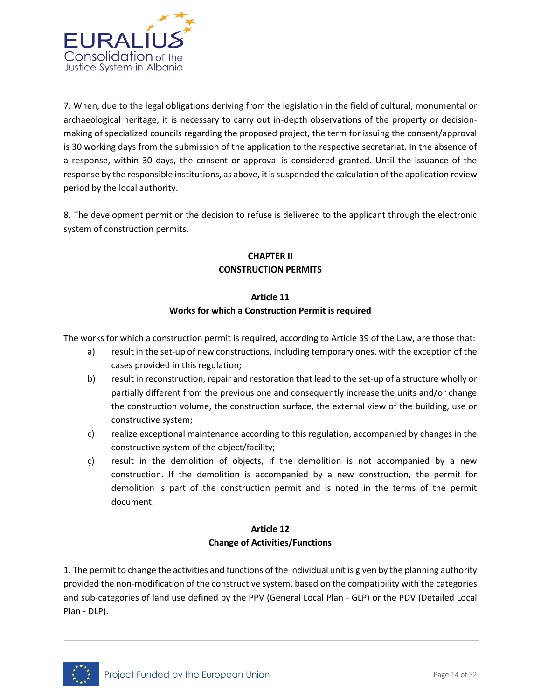

7. When, due to the legal obligations deriving from the legislation in the field of cultural, monumental or archaeological heritage, it is necessary to carry out in-depth observations of the property or decisionmaking of specialized councils regarding the proposed project, the term for issuing the consent/approval is 30 working days from the submission of the application to the respective secretariat. In the absence of a response, within 30 days, the consent or approval is considered granted. Until the issuance of the response by the responsible institutions, as above, it is suspended the calculation of the application review period by the local authority.

8. The development permit or the decision to refuse is delivered to the applicant through the electronic system of construction permits.

# **CHAPTER II CONSTRUCTION PERMITS**

### **Article 11**

### **Works for which a Construction Permit is required**

The works for which a construction permit is required, according to Article 39 of the Law, are those that:

- a) result in the set-up of new constructions, including temporary ones, with the exception of the cases provided in this regulation;
- b) result in reconstruction, repair and restoration that lead to the set-up of a structure wholly or partially different from the previous one and consequently increase the units and/or change the construction volume, the construction surface, the external view of the building, use or constructive system;
- c) realize exceptional maintenance according to this regulation, accompanied by changes in the constructive system of the object/facility;
- ç) result in the demolition of objects, if the demolition is not accompanied by a new construction. If the demolition is accompanied by a new construction, the permit for demolition is part of the construction permit and is noted in the terms of the permit document.

### **Article 12 Change of Activities/Functions**

1. The permit to change the activities and functions of the individual unit is given by the planning authority provided the non-modification of the constructive system, based on the compatibility with the categories and sub-categories of land use defined by the PPV (General Local Plan - GLP) or the PDV (Detailed Local Plan - DLP).

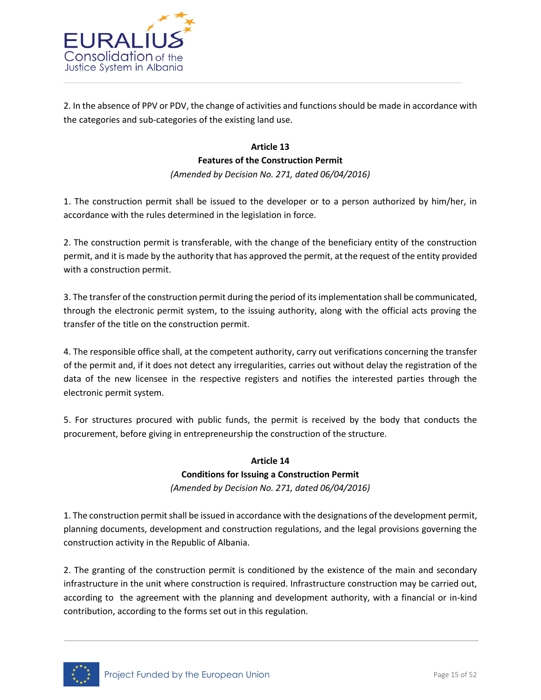

2. In the absence of PPV or PDV, the change of activities and functions should be made in accordance with the categories and sub-categories of the existing land use.

### **Article 13**

### **Features of the Construction Permit**

*(Amended by Decision No. 271, dated 06/04/2016)*

1. The construction permit shall be issued to the developer or to a person authorized by him/her, in accordance with the rules determined in the legislation in force.

2. The construction permit is transferable, with the change of the beneficiary entity of the construction permit, and it is made by the authority that has approved the permit, at the request of the entity provided with a construction permit.

3. The transfer of the construction permit during the period of its implementation shall be communicated, through the electronic permit system, to the issuing authority, along with the official acts proving the transfer of the title on the construction permit.

4. The responsible office shall, at the competent authority, carry out verifications concerning the transfer of the permit and, if it does not detect any irregularities, carries out without delay the registration of the data of the new licensee in the respective registers and notifies the interested parties through the electronic permit system.

5. For structures procured with public funds, the permit is received by the body that conducts the procurement, before giving in entrepreneurship the construction of the structure.

# **Article 14 Conditions for Issuing a Construction Permit** *(Amended by Decision No. 271, dated 06/04/2016)*

1. The construction permit shall be issued in accordance with the designations of the development permit, planning documents, development and construction regulations, and the legal provisions governing the construction activity in the Republic of Albania.

2. The granting of the construction permit is conditioned by the existence of the main and secondary infrastructure in the unit where construction is required. Infrastructure construction may be carried out, according to the agreement with the planning and development authority, with a financial or in-kind contribution, according to the forms set out in this regulation.

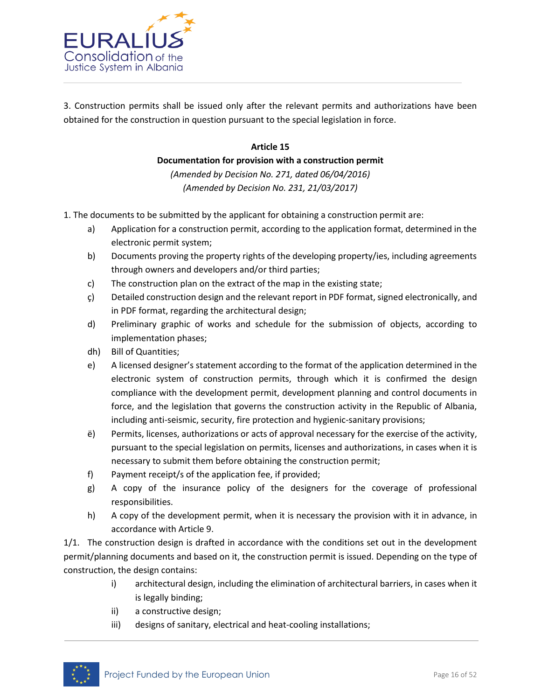

3. Construction permits shall be issued only after the relevant permits and authorizations have been obtained for the construction in question pursuant to the special legislation in force.

### **Article 15**

**Documentation for provision with a construction permit**

*(Amended by Decision No. 271, dated 06/04/2016) (Amended by Decision No. 231, 21/03/2017)*

- 1. The documents to be submitted by the applicant for obtaining a construction permit are:
	- a) Application for a construction permit, according to the application format, determined in the electronic permit system;
	- b) Documents proving the property rights of the developing property/ies, including agreements through owners and developers and/or third parties;
	- c) The construction plan on the extract of the map in the existing state;
	- ç) Detailed construction design and the relevant report in PDF format, signed electronically, and in PDF format, regarding the architectural design;
	- d) Preliminary graphic of works and schedule for the submission of objects, according to implementation phases;
	- dh) Bill of Quantities;
	- e) A licensed designer's statement according to the format of the application determined in the electronic system of construction permits, through which it is confirmed the design compliance with the development permit, development planning and control documents in force, and the legislation that governs the construction activity in the Republic of Albania, including anti-seismic, security, fire protection and hygienic-sanitary provisions;
	- ë) Permits, licenses, authorizations or acts of approval necessary for the exercise of the activity, pursuant to the special legislation on permits, licenses and authorizations, in cases when it is necessary to submit them before obtaining the construction permit;
	- f) Payment receipt/s of the application fee, if provided;
	- g) A copy of the insurance policy of the designers for the coverage of professional responsibilities.
	- h) A copy of the development permit, when it is necessary the provision with it in advance, in accordance with Article 9.

1/1. The construction design is drafted in accordance with the conditions set out in the development permit/planning documents and based on it, the construction permit is issued. Depending on the type of construction, the design contains:

- i) architectural design, including the elimination of architectural barriers, in cases when it is legally binding;
- ii) a constructive design;
- iii) designs of sanitary, electrical and heat-cooling installations;

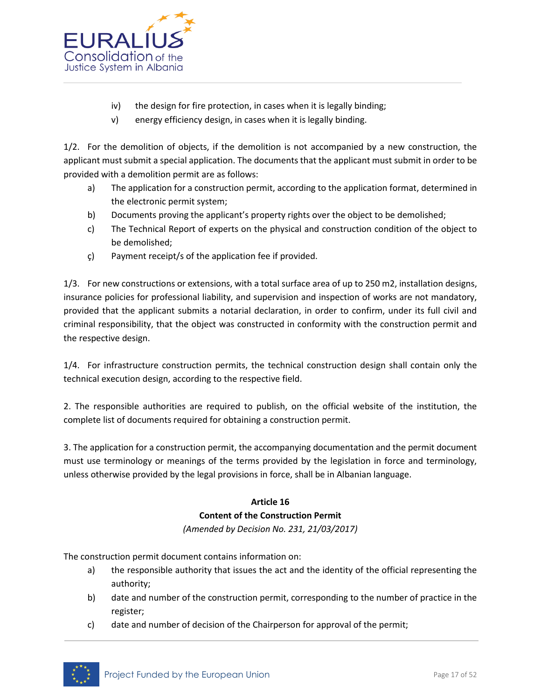

- iv) the design for fire protection, in cases when it is legally binding;
- v) energy efficiency design, in cases when it is legally binding.

1/2. For the demolition of objects, if the demolition is not accompanied by a new construction, the applicant must submit a special application. The documents that the applicant must submit in order to be provided with a demolition permit are as follows:

- a) The application for a construction permit, according to the application format, determined in the electronic permit system;
- b) Documents proving the applicant's property rights over the object to be demolished;
- c) The Technical Report of experts on the physical and construction condition of the object to be demolished;
- ç) Payment receipt/s of the application fee if provided.

1/3. For new constructions or extensions, with a total surface area of up to 250 m2, installation designs, insurance policies for professional liability, and supervision and inspection of works are not mandatory, provided that the applicant submits a notarial declaration, in order to confirm, under its full civil and criminal responsibility, that the object was constructed in conformity with the construction permit and the respective design.

1/4. For infrastructure construction permits, the technical construction design shall contain only the technical execution design, according to the respective field.

2. The responsible authorities are required to publish, on the official website of the institution, the complete list of documents required for obtaining a construction permit.

3. The application for a construction permit, the accompanying documentation and the permit document must use terminology or meanings of the terms provided by the legislation in force and terminology, unless otherwise provided by the legal provisions in force, shall be in Albanian language.

### **Article 16 Content of the Construction Permit**

*(Amended by Decision No. 231, 21/03/2017)*

The construction permit document contains information on:

- a) the responsible authority that issues the act and the identity of the official representing the authority;
- b) date and number of the construction permit, corresponding to the number of practice in the register;
- c) date and number of decision of the Chairperson for approval of the permit;

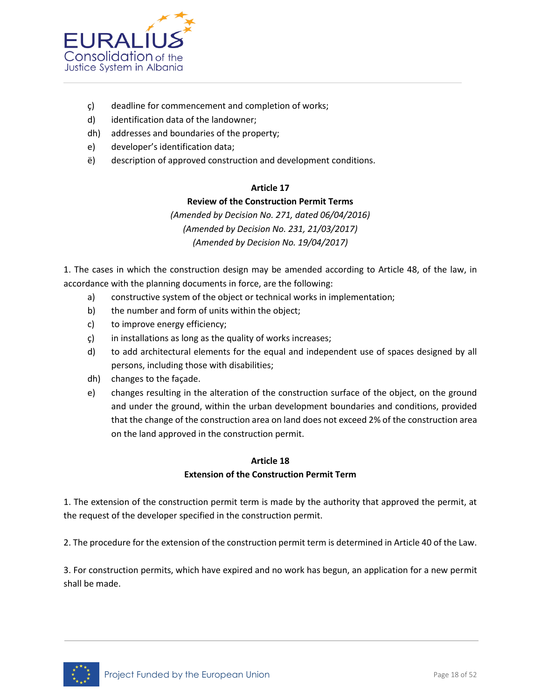

- ç) deadline for commencement and completion of works;
- d) identification data of the landowner;
- dh) addresses and boundaries of the property;
- e) developer's identification data;
- ë) description of approved construction and development conditions.

### **Article 17**

### **Review of the Construction Permit Terms**

*(Amended by Decision No. 271, dated 06/04/2016) (Amended by Decision No. 231, 21/03/2017) (Amended by Decision No. 19/04/2017)*

1. The cases in which the construction design may be amended according to Article 48, of the law, in accordance with the planning documents in force, are the following:

- a) constructive system of the object or technical works in implementation;
- b) the number and form of units within the object;
- c) to improve energy efficiency;
- ç) in installations as long as the quality of works increases;
- d) to add architectural elements for the equal and independent use of spaces designed by all persons, including those with disabilities;
- dh) changes to the façade.
- e) changes resulting in the alteration of the construction surface of the object, on the ground and under the ground, within the urban development boundaries and conditions, provided that the change of the construction area on land does not exceed 2% of the construction area on the land approved in the construction permit.

### **Article 18**

### **Extension of the Construction Permit Term**

1. The extension of the construction permit term is made by the authority that approved the permit, at the request of the developer specified in the construction permit.

2. The procedure for the extension of the construction permit term is determined in Article 40 of the Law.

3. For construction permits, which have expired and no work has begun, an application for a new permit shall be made.

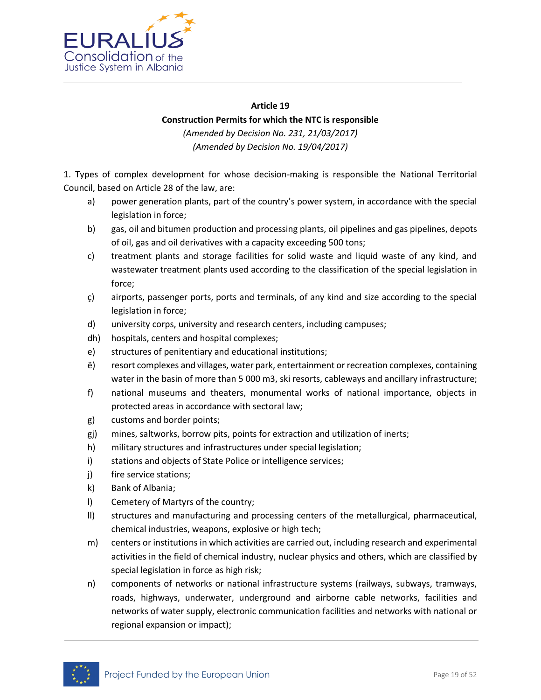

#### **Article 19**

### **Construction Permits for which the NTC is responsible**

*(Amended by Decision No. 231, 21/03/2017) (Amended by Decision No. 19/04/2017)*

1. Types of complex development for whose decision-making is responsible the National Territorial Council, based on Article 28 of the law, are:

- a) power generation plants, part of the country's power system, in accordance with the special legislation in force;
- b) gas, oil and bitumen production and processing plants, oil pipelines and gas pipelines, depots of oil, gas and oil derivatives with a capacity exceeding 500 tons;
- c) treatment plants and storage facilities for solid waste and liquid waste of any kind, and wastewater treatment plants used according to the classification of the special legislation in force;
- ç) airports, passenger ports, ports and terminals, of any kind and size according to the special legislation in force;
- d) university corps, university and research centers, including campuses;
- dh) hospitals, centers and hospital complexes;
- e) structures of penitentiary and educational institutions;
- ë) resort complexes and villages, water park, entertainment or recreation complexes, containing water in the basin of more than 5 000 m3, ski resorts, cableways and ancillary infrastructure;
- f) national museums and theaters, monumental works of national importance, objects in protected areas in accordance with sectoral law;
- g) customs and border points;
- gj) mines, saltworks, borrow pits, points for extraction and utilization of inerts;
- h) military structures and infrastructures under special legislation;
- i) stations and objects of State Police or intelligence services;
- j) fire service stations;
- k) Bank of Albania;
- l) Cemetery of Martyrs of the country;
- ll) structures and manufacturing and processing centers of the metallurgical, pharmaceutical, chemical industries, weapons, explosive or high tech;
- m) centers or institutions in which activities are carried out, including research and experimental activities in the field of chemical industry, nuclear physics and others, which are classified by special legislation in force as high risk;
- n) components of networks or national infrastructure systems (railways, subways, tramways, roads, highways, underwater, underground and airborne cable networks, facilities and networks of water supply, electronic communication facilities and networks with national or regional expansion or impact);

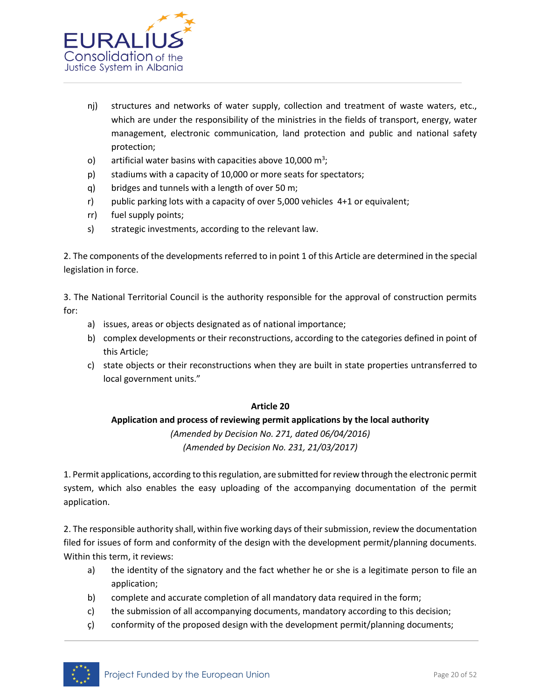

- nj) structures and networks of water supply, collection and treatment of waste waters, etc., which are under the responsibility of the ministries in the fields of transport, energy, water management, electronic communication, land protection and public and national safety protection;
- o) artificial water basins with capacities above 10,000  $m^3$ ;
- p) stadiums with a capacity of 10,000 or more seats for spectators;
- q) bridges and tunnels with a length of over 50 m;
- r) public parking lots with a capacity of over 5,000 vehicles 4+1 or equivalent;
- rr) fuel supply points;
- s) strategic investments, according to the relevant law.

2. The components of the developments referred to in point 1 of this Article are determined in the special legislation in force.

3. The National Territorial Council is the authority responsible for the approval of construction permits for:

- a) issues, areas or objects designated as of national importance;
- b) complex developments or their reconstructions, according to the categories defined in point of this Article;
- c) state objects or their reconstructions when they are built in state properties untransferred to local government units."

### **Article 20**

### **Application and process of reviewing permit applications by the local authority**

*(Amended by Decision No. 271, dated 06/04/2016) (Amended by Decision No. 231, 21/03/2017)*

1. Permit applications, according to this regulation, are submitted for review through the electronic permit system, which also enables the easy uploading of the accompanying documentation of the permit application.

2. The responsible authority shall, within five working days of their submission, review the documentation filed for issues of form and conformity of the design with the development permit/planning documents. Within this term, it reviews:

- a) the identity of the signatory and the fact whether he or she is a legitimate person to file an application;
- b) complete and accurate completion of all mandatory data required in the form;
- c) the submission of all accompanying documents, mandatory according to this decision;
- ç) conformity of the proposed design with the development permit/planning documents;

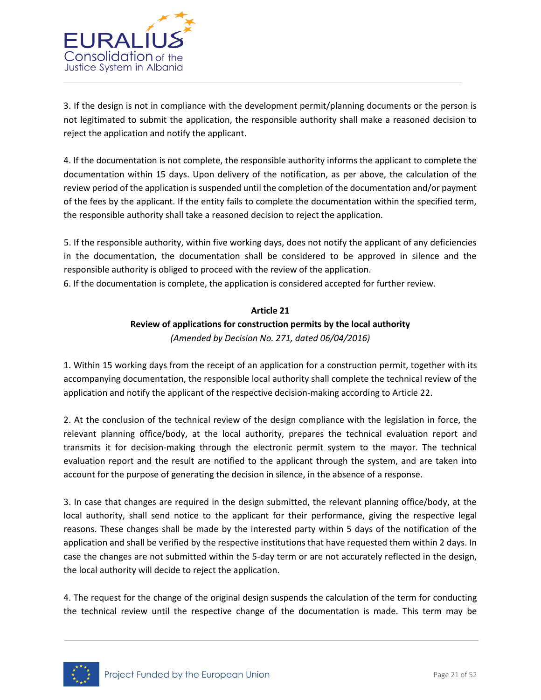

3. If the design is not in compliance with the development permit/planning documents or the person is not legitimated to submit the application, the responsible authority shall make a reasoned decision to reject the application and notify the applicant.

4. If the documentation is not complete, the responsible authority informs the applicant to complete the documentation within 15 days. Upon delivery of the notification, as per above, the calculation of the review period of the application is suspended until the completion of the documentation and/or payment of the fees by the applicant. If the entity fails to complete the documentation within the specified term, the responsible authority shall take a reasoned decision to reject the application.

5. If the responsible authority, within five working days, does not notify the applicant of any deficiencies in the documentation, the documentation shall be considered to be approved in silence and the responsible authority is obliged to proceed with the review of the application.

6. If the documentation is complete, the application is considered accepted for further review.

# **Article 21 Review of applications for construction permits by the local authority** *(Amended by Decision No. 271, dated 06/04/2016)*

1. Within 15 working days from the receipt of an application for a construction permit, together with its accompanying documentation, the responsible local authority shall complete the technical review of the application and notify the applicant of the respective decision-making according to Article 22.

2. At the conclusion of the technical review of the design compliance with the legislation in force, the relevant planning office/body, at the local authority, prepares the technical evaluation report and transmits it for decision-making through the electronic permit system to the mayor. The technical evaluation report and the result are notified to the applicant through the system, and are taken into account for the purpose of generating the decision in silence, in the absence of a response.

3. In case that changes are required in the design submitted, the relevant planning office/body, at the local authority, shall send notice to the applicant for their performance, giving the respective legal reasons. These changes shall be made by the interested party within 5 days of the notification of the application and shall be verified by the respective institutions that have requested them within 2 days. In case the changes are not submitted within the 5-day term or are not accurately reflected in the design, the local authority will decide to reject the application.

4. The request for the change of the original design suspends the calculation of the term for conducting the technical review until the respective change of the documentation is made. This term may be

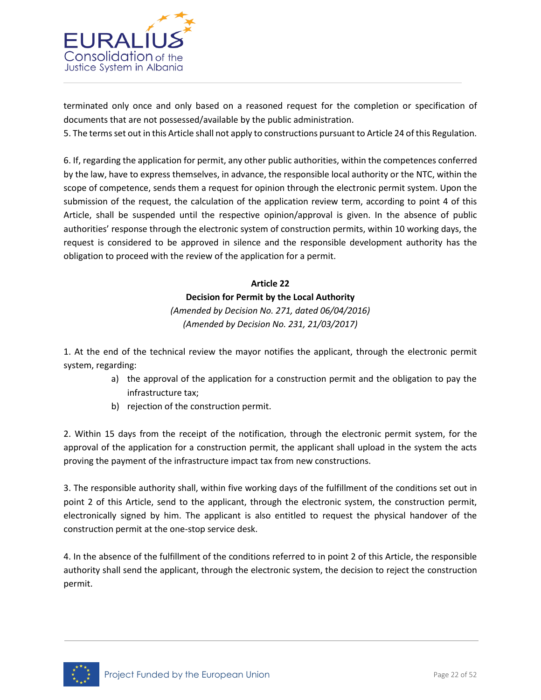

terminated only once and only based on a reasoned request for the completion or specification of documents that are not possessed/available by the public administration.

5. The terms set out in this Article shall not apply to constructions pursuant to Article 24 of this Regulation.

6. If, regarding the application for permit, any other public authorities, within the competences conferred by the law, have to express themselves, in advance, the responsible local authority or the NTC, within the scope of competence, sends them a request for opinion through the electronic permit system. Upon the submission of the request, the calculation of the application review term, according to point 4 of this Article, shall be suspended until the respective opinion/approval is given. In the absence of public authorities' response through the electronic system of construction permits, within 10 working days, the request is considered to be approved in silence and the responsible development authority has the obligation to proceed with the review of the application for a permit.

# **Article 22 Decision for Permit by the Local Authority** *(Amended by Decision No. 271, dated 06/04/2016) (Amended by Decision No. 231, 21/03/2017)*

1. At the end of the technical review the mayor notifies the applicant, through the electronic permit system, regarding:

- a) the approval of the application for a construction permit and the obligation to pay the infrastructure tax;
- b) rejection of the construction permit.

2. Within 15 days from the receipt of the notification, through the electronic permit system, for the approval of the application for a construction permit, the applicant shall upload in the system the acts proving the payment of the infrastructure impact tax from new constructions.

3. The responsible authority shall, within five working days of the fulfillment of the conditions set out in point 2 of this Article, send to the applicant, through the electronic system, the construction permit, electronically signed by him. The applicant is also entitled to request the physical handover of the construction permit at the one-stop service desk.

4. In the absence of the fulfillment of the conditions referred to in point 2 of this Article, the responsible authority shall send the applicant, through the electronic system, the decision to reject the construction permit.

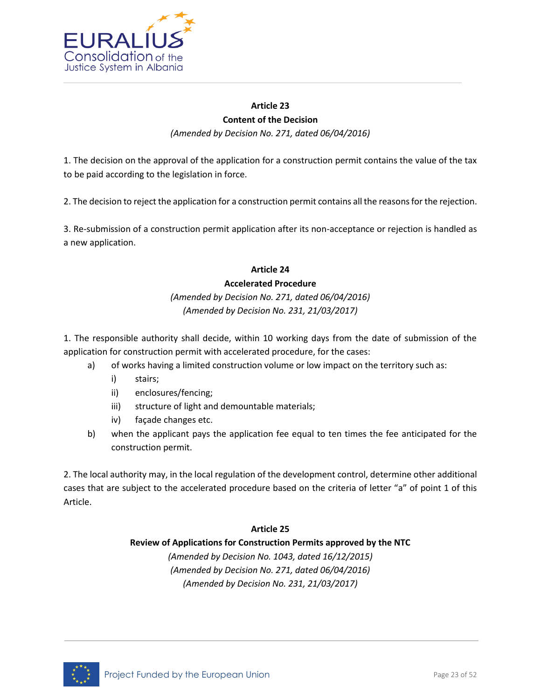

# **Article 23 Content of the Decision**

*(Amended by Decision No. 271, dated 06/04/2016)*

1. The decision on the approval of the application for a construction permit contains the value of the tax to be paid according to the legislation in force.

2. The decision to reject the application for a construction permit contains all the reasons for the rejection.

3. Re-submission of a construction permit application after its non-acceptance or rejection is handled as a new application.

# **Article 24 Accelerated Procedure**

## *(Amended by Decision No. 271, dated 06/04/2016) (Amended by Decision No. 231, 21/03/2017)*

1. The responsible authority shall decide, within 10 working days from the date of submission of the application for construction permit with accelerated procedure, for the cases:

- a) of works having a limited construction volume or low impact on the territory such as:
	- i) stairs;
	- ii) enclosures/fencing;
	- iii) structure of light and demountable materials;
	- iv) façade changes etc.
- b) when the applicant pays the application fee equal to ten times the fee anticipated for the construction permit.

2. The local authority may, in the local regulation of the development control, determine other additional cases that are subject to the accelerated procedure based on the criteria of letter "a" of point 1 of this Article.

### **Article 25**

### **Review of Applications for Construction Permits approved by the NTC**

*(Amended by Decision No. 1043, dated 16/12/2015) (Amended by Decision No. 271, dated 06/04/2016) (Amended by Decision No. 231, 21/03/2017)*

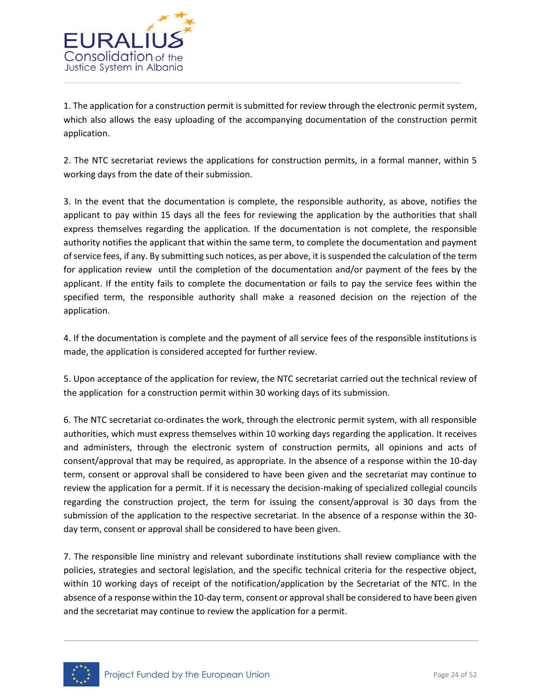

1. The application for a construction permit is submitted for review through the electronic permit system, which also allows the easy uploading of the accompanying documentation of the construction permit application.

2. The NTC secretariat reviews the applications for construction permits, in a formal manner, within 5 working days from the date of their submission.

3. In the event that the documentation is complete, the responsible authority, as above, notifies the applicant to pay within 15 days all the fees for reviewing the application by the authorities that shall express themselves regarding the application. If the documentation is not complete, the responsible authority notifies the applicant that within the same term, to complete the documentation and payment of service fees, if any. By submitting such notices, as per above, it is suspended the calculation of the term for application review until the completion of the documentation and/or payment of the fees by the applicant. If the entity fails to complete the documentation or fails to pay the service fees within the specified term, the responsible authority shall make a reasoned decision on the rejection of the application.

4. If the documentation is complete and the payment of all service fees of the responsible institutions is made, the application is considered accepted for further review.

5. Upon acceptance of the application for review, the NTC secretariat carried out the technical review of the application for a construction permit within 30 working days of its submission.

6. The NTC secretariat co-ordinates the work, through the electronic permit system, with all responsible authorities, which must express themselves within 10 working days regarding the application. It receives and administers, through the electronic system of construction permits, all opinions and acts of consent/approval that may be required, as appropriate. In the absence of a response within the 10-day term, consent or approval shall be considered to have been given and the secretariat may continue to review the application for a permit. If it is necessary the decision-making of specialized collegial councils regarding the construction project, the term for issuing the consent/approval is 30 days from the submission of the application to the respective secretariat. In the absence of a response within the 30 day term, consent or approval shall be considered to have been given.

7. The responsible line ministry and relevant subordinate institutions shall review compliance with the policies, strategies and sectoral legislation, and the specific technical criteria for the respective object, within 10 working days of receipt of the notification/application by the Secretariat of the NTC. In the absence of a response within the 10-day term, consent or approval shall be considered to have been given and the secretariat may continue to review the application for a permit.

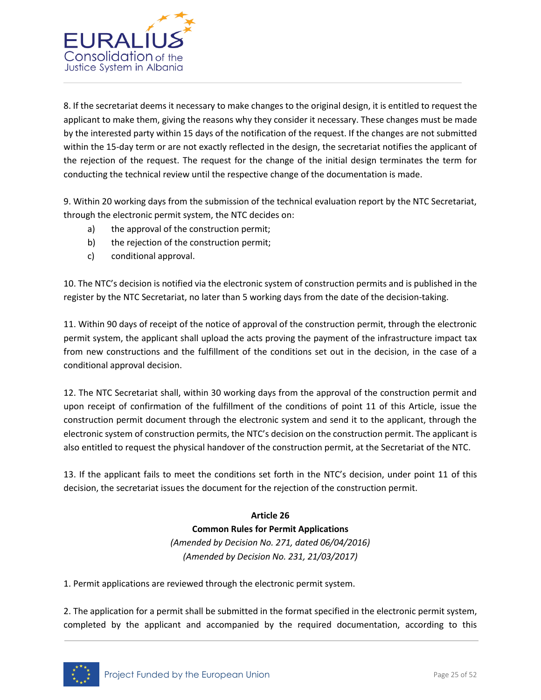

8. If the secretariat deems it necessary to make changes to the original design, it is entitled to request the applicant to make them, giving the reasons why they consider it necessary. These changes must be made by the interested party within 15 days of the notification of the request. If the changes are not submitted within the 15-day term or are not exactly reflected in the design, the secretariat notifies the applicant of the rejection of the request. The request for the change of the initial design terminates the term for conducting the technical review until the respective change of the documentation is made.

9. Within 20 working days from the submission of the technical evaluation report by the NTC Secretariat, through the electronic permit system, the NTC decides on:

- a) the approval of the construction permit;
- b) the rejection of the construction permit;
- c) conditional approval.

10. The NTC's decision is notified via the electronic system of construction permits and is published in the register by the NTC Secretariat, no later than 5 working days from the date of the decision-taking.

11. Within 90 days of receipt of the notice of approval of the construction permit, through the electronic permit system, the applicant shall upload the acts proving the payment of the infrastructure impact tax from new constructions and the fulfillment of the conditions set out in the decision, in the case of a conditional approval decision.

12. The NTC Secretariat shall, within 30 working days from the approval of the construction permit and upon receipt of confirmation of the fulfillment of the conditions of point 11 of this Article, issue the construction permit document through the electronic system and send it to the applicant, through the electronic system of construction permits, the NTC's decision on the construction permit. The applicant is also entitled to request the physical handover of the construction permit, at the Secretariat of the NTC.

13. If the applicant fails to meet the conditions set forth in the NTC's decision, under point 11 of this decision, the secretariat issues the document for the rejection of the construction permit.

> **Article 26 Common Rules for Permit Applications** *(Amended by Decision No. 271, dated 06/04/2016) (Amended by Decision No. 231, 21/03/2017)*

1. Permit applications are reviewed through the electronic permit system.

2. The application for a permit shall be submitted in the format specified in the electronic permit system, completed by the applicant and accompanied by the required documentation, according to this

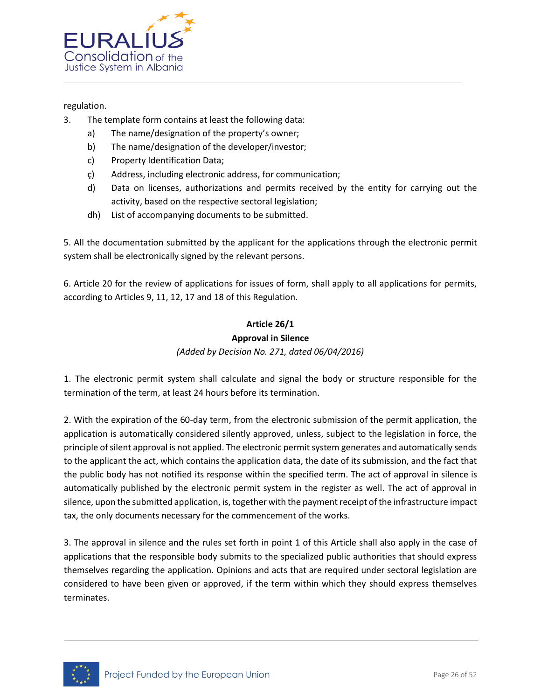

### regulation.

- 3. The template form contains at least the following data:
	- a) The name/designation of the property's owner;
	- b) The name/designation of the developer/investor;
	- c) Property Identification Data;
	- ç) Address, including electronic address, for communication;
	- d) Data on licenses, authorizations and permits received by the entity for carrying out the activity, based on the respective sectoral legislation;
	- dh) List of accompanying documents to be submitted.

5. All the documentation submitted by the applicant for the applications through the electronic permit system shall be electronically signed by the relevant persons.

6. Article 20 for the review of applications for issues of form, shall apply to all applications for permits, according to Articles 9, 11, 12, 17 and 18 of this Regulation.

# **Article 26/1**

#### **Approval in Silence** *(Added by Decision No. 271, dated 06/04/2016)*

1. The electronic permit system shall calculate and signal the body or structure responsible for the termination of the term, at least 24 hours before its termination.

2. With the expiration of the 60-day term, from the electronic submission of the permit application, the application is automatically considered silently approved, unless, subject to the legislation in force, the principle of silent approval is not applied. The electronic permit system generates and automatically sends to the applicant the act, which contains the application data, the date of its submission, and the fact that the public body has not notified its response within the specified term. The act of approval in silence is automatically published by the electronic permit system in the register as well. The act of approval in silence, upon the submitted application, is, together with the payment receipt of the infrastructure impact tax, the only documents necessary for the commencement of the works.

3. The approval in silence and the rules set forth in point 1 of this Article shall also apply in the case of applications that the responsible body submits to the specialized public authorities that should express themselves regarding the application. Opinions and acts that are required under sectoral legislation are considered to have been given or approved, if the term within which they should express themselves terminates.

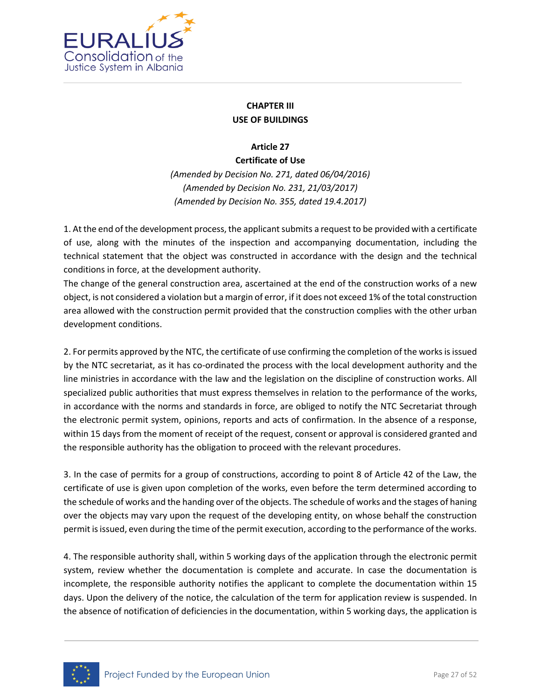

### **CHAPTER III USE OF BUILDINGS**

**Article 27**

**Certificate of Use** *(Amended by Decision No. 271, dated 06/04/2016) (Amended by Decision No. 231, 21/03/2017) (Amended by Decision No. 355, dated 19.4.2017)*

1. At the end of the development process, the applicant submits a request to be provided with a certificate of use, along with the minutes of the inspection and accompanying documentation, including the technical statement that the object was constructed in accordance with the design and the technical conditions in force, at the development authority.

The change of the general construction area, ascertained at the end of the construction works of a new object, is not considered a violation but a margin of error, if it does not exceed 1% of the total construction area allowed with the construction permit provided that the construction complies with the other urban development conditions.

2. For permits approved by the NTC, the certificate of use confirming the completion of the works is issued by the NTC secretariat, as it has co-ordinated the process with the local development authority and the line ministries in accordance with the law and the legislation on the discipline of construction works. All specialized public authorities that must express themselves in relation to the performance of the works, in accordance with the norms and standards in force, are obliged to notify the NTC Secretariat through the electronic permit system, opinions, reports and acts of confirmation. In the absence of a response, within 15 days from the moment of receipt of the request, consent or approval is considered granted and the responsible authority has the obligation to proceed with the relevant procedures.

3. In the case of permits for a group of constructions, according to point 8 of Article 42 of the Law, the certificate of use is given upon completion of the works, even before the term determined according to the schedule of works and the handing over of the objects. The schedule of works and the stages of haning over the objects may vary upon the request of the developing entity, on whose behalf the construction permit is issued, even during the time of the permit execution, according to the performance of the works.

4. The responsible authority shall, within 5 working days of the application through the electronic permit system, review whether the documentation is complete and accurate. In case the documentation is incomplete, the responsible authority notifies the applicant to complete the documentation within 15 days. Upon the delivery of the notice, the calculation of the term for application review is suspended. In the absence of notification of deficiencies in the documentation, within 5 working days, the application is

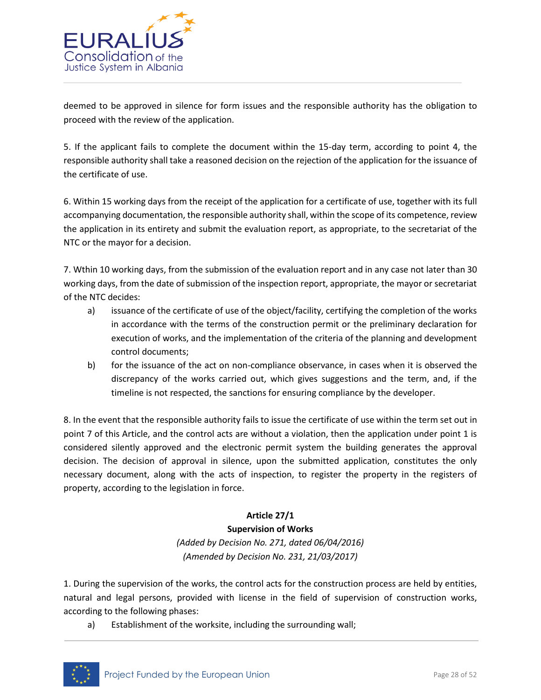

deemed to be approved in silence for form issues and the responsible authority has the obligation to proceed with the review of the application.

5. If the applicant fails to complete the document within the 15-day term, according to point 4, the responsible authority shall take a reasoned decision on the rejection of the application for the issuance of the certificate of use.

6. Within 15 working days from the receipt of the application for a certificate of use, together with its full accompanying documentation, the responsible authority shall, within the scope of its competence, review the application in its entirety and submit the evaluation report, as appropriate, to the secretariat of the NTC or the mayor for a decision.

7. Wthin 10 working days, from the submission of the evaluation report and in any case not later than 30 working days, from the date of submission of the inspection report, appropriate, the mayor or secretariat of the NTC decides:

- a) issuance of the certificate of use of the object/facility, certifying the completion of the works in accordance with the terms of the construction permit or the preliminary declaration for execution of works, and the implementation of the criteria of the planning and development control documents;
- b) for the issuance of the act on non-compliance observance, in cases when it is observed the discrepancy of the works carried out, which gives suggestions and the term, and, if the timeline is not respected, the sanctions for ensuring compliance by the developer.

8. In the event that the responsible authority fails to issue the certificate of use within the term set out in point 7 of this Article, and the control acts are without a violation, then the application under point 1 is considered silently approved and the electronic permit system the building generates the approval decision. The decision of approval in silence, upon the submitted application, constitutes the only necessary document, along with the acts of inspection, to register the property in the registers of property, according to the legislation in force.

### **Article 27/1**

### **Supervision of Works**

*(Added by Decision No. 271, dated 06/04/2016) (Amended by Decision No. 231, 21/03/2017)*

1. During the supervision of the works, the control acts for the construction process are held by entities, natural and legal persons, provided with license in the field of supervision of construction works, according to the following phases:

a) Establishment of the worksite, including the surrounding wall;

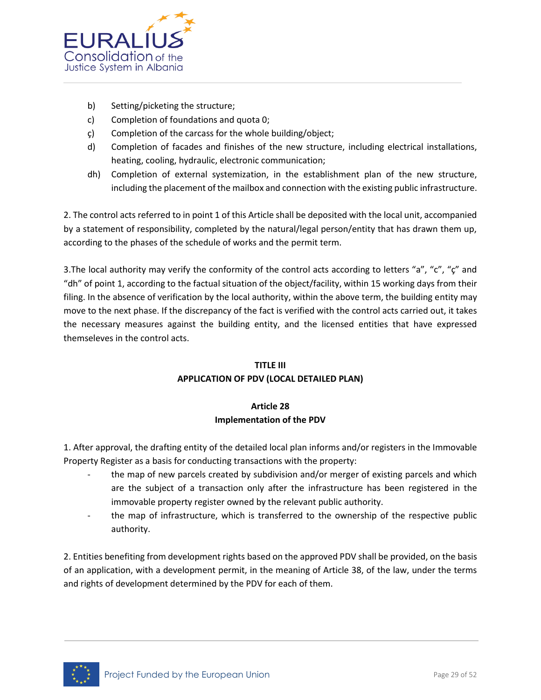

- b) Setting/picketing the structure;
- c) Completion of foundations and quota 0;
- ç) Completion of the carcass for the whole building/object;
- d) Completion of facades and finishes of the new structure, including electrical installations, heating, cooling, hydraulic, electronic communication;
- dh) Completion of external systemization, in the establishment plan of the new structure, including the placement of the mailbox and connection with the existing public infrastructure.

2. The control acts referred to in point 1 of this Article shall be deposited with the local unit, accompanied by a statement of responsibility, completed by the natural/legal person/entity that has drawn them up, according to the phases of the schedule of works and the permit term.

3. The local authority may verify the conformity of the control acts according to letters "a", "c", "ç" and "dh" of point 1, according to the factual situation of the object/facility, within 15 working days from their filing. In the absence of verification by the local authority, within the above term, the building entity may move to the next phase. If the discrepancy of the fact is verified with the control acts carried out, it takes the necessary measures against the building entity, and the licensed entities that have expressed themseleves in the control acts.

### **TITLE III APPLICATION OF PDV (LOCAL DETAILED PLAN)**

### **Article 28 Implementation of the PDV**

1. After approval, the drafting entity of the detailed local plan informs and/or registers in the Immovable Property Register as a basis for conducting transactions with the property:

- the map of new parcels created by subdivision and/or merger of existing parcels and which are the subject of a transaction only after the infrastructure has been registered in the immovable property register owned by the relevant public authority.
- the map of infrastructure, which is transferred to the ownership of the respective public authority.

2. Entities benefiting from development rights based on the approved PDV shall be provided, on the basis of an application, with a development permit, in the meaning of Article 38, of the law, under the terms and rights of development determined by the PDV for each of them.

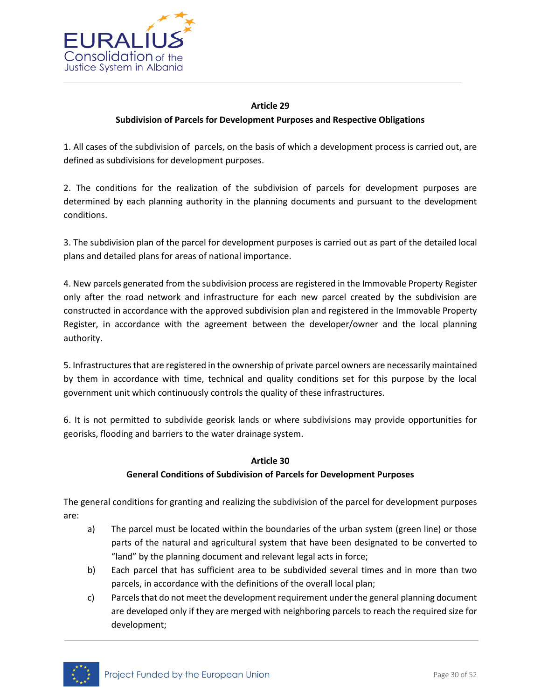

### **Article 29 Subdivision of Parcels for Development Purposes and Respective Obligations**

1. All cases of the subdivision of parcels, on the basis of which a development process is carried out, are defined as subdivisions for development purposes.

2. The conditions for the realization of the subdivision of parcels for development purposes are determined by each planning authority in the planning documents and pursuant to the development conditions.

3. The subdivision plan of the parcel for development purposes is carried out as part of the detailed local plans and detailed plans for areas of national importance.

4. New parcels generated from the subdivision process are registered in the Immovable Property Register only after the road network and infrastructure for each new parcel created by the subdivision are constructed in accordance with the approved subdivision plan and registered in the Immovable Property Register, in accordance with the agreement between the developer/owner and the local planning authority.

5. Infrastructures that are registered in the ownership of private parcel owners are necessarily maintained by them in accordance with time, technical and quality conditions set for this purpose by the local government unit which continuously controls the quality of these infrastructures.

6. It is not permitted to subdivide georisk lands or where subdivisions may provide opportunities for georisks, flooding and barriers to the water drainage system.

### **Article 30**

### **General Conditions of Subdivision of Parcels for Development Purposes**

The general conditions for granting and realizing the subdivision of the parcel for development purposes are:

- a) The parcel must be located within the boundaries of the urban system (green line) or those parts of the natural and agricultural system that have been designated to be converted to "land" by the planning document and relevant legal acts in force;
- b) Each parcel that has sufficient area to be subdivided several times and in more than two parcels, in accordance with the definitions of the overall local plan;
- c) Parcels that do not meet the development requirement under the general planning document are developed only if they are merged with neighboring parcels to reach the required size for development;

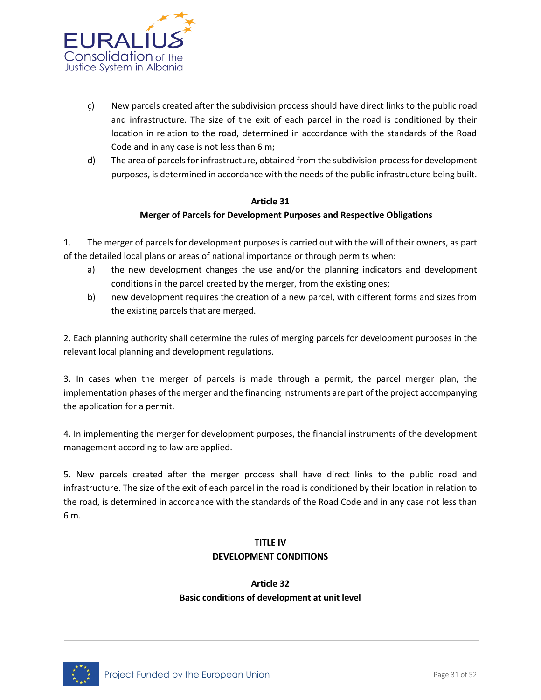

- ç) New parcels created after the subdivision process should have direct links to the public road and infrastructure. The size of the exit of each parcel in the road is conditioned by their location in relation to the road, determined in accordance with the standards of the Road Code and in any case is not less than 6 m;
- d) The area of parcels for infrastructure, obtained from the subdivision process for development purposes, is determined in accordance with the needs of the public infrastructure being built.

### **Article 31**

### **Merger of Parcels for Development Purposes and Respective Obligations**

1. The merger of parcels for development purposes is carried out with the will of their owners, as part of the detailed local plans or areas of national importance or through permits when:

- a) the new development changes the use and/or the planning indicators and development conditions in the parcel created by the merger, from the existing ones;
- b) new development requires the creation of a new parcel, with different forms and sizes from the existing parcels that are merged.

2. Each planning authority shall determine the rules of merging parcels for development purposes in the relevant local planning and development regulations.

3. In cases when the merger of parcels is made through a permit, the parcel merger plan, the implementation phases of the merger and the financing instruments are part of the project accompanying the application for a permit.

4. In implementing the merger for development purposes, the financial instruments of the development management according to law are applied.

5. New parcels created after the merger process shall have direct links to the public road and infrastructure. The size of the exit of each parcel in the road is conditioned by their location in relation to the road, is determined in accordance with the standards of the Road Code and in any case not less than 6 m.

### **TITLE IV DEVELOPMENT CONDITIONS**

### **Article 32 Basic conditions of development at unit level**

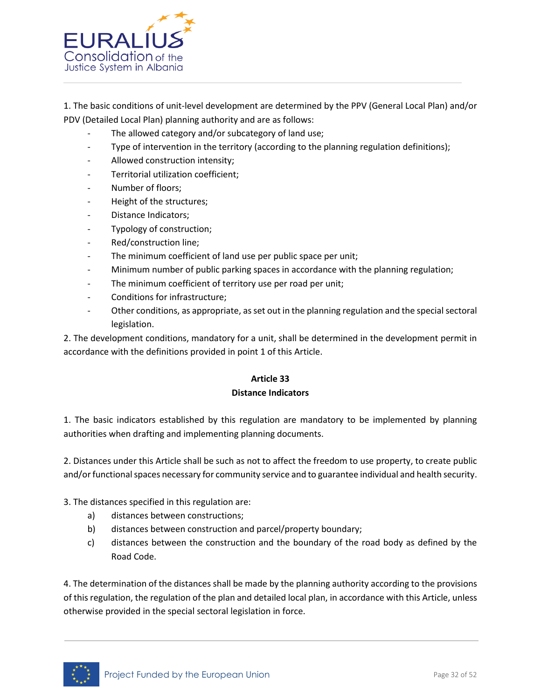

1. The basic conditions of unit-level development are determined by the PPV (General Local Plan) and/or PDV (Detailed Local Plan) planning authority and are as follows:

- The allowed category and/or subcategory of land use;
- Type of intervention in the territory (according to the planning regulation definitions);
- Allowed construction intensity;
- Territorial utilization coefficient;
- Number of floors;
- Height of the structures;
- Distance Indicators;
- Typology of construction;
- Red/construction line;
- The minimum coefficient of land use per public space per unit;
- Minimum number of public parking spaces in accordance with the planning regulation;
- The minimum coefficient of territory use per road per unit;
- Conditions for infrastructure;
- Other conditions, as appropriate, as set out in the planning regulation and the special sectoral legislation.

2. The development conditions, mandatory for a unit, shall be determined in the development permit in accordance with the definitions provided in point 1 of this Article.

### **Article 33 Distance Indicators**

1. The basic indicators established by this regulation are mandatory to be implemented by planning authorities when drafting and implementing planning documents.

2. Distances under this Article shall be such as not to affect the freedom to use property, to create public and/or functional spaces necessary for community service and to guarantee individual and health security.

3. The distances specified in this regulation are:

- a) distances between constructions;
- b) distances between construction and parcel/property boundary;
- c) distances between the construction and the boundary of the road body as defined by the Road Code.

4. The determination of the distances shall be made by the planning authority according to the provisions of this regulation, the regulation of the plan and detailed local plan, in accordance with this Article, unless otherwise provided in the special sectoral legislation in force.

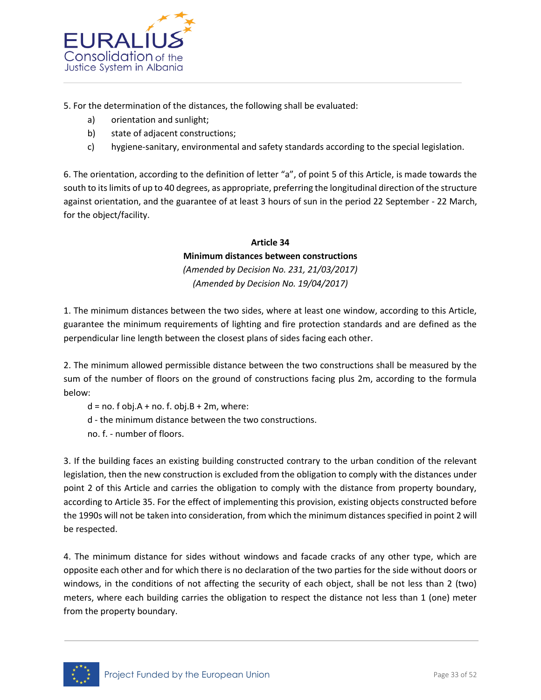

5. For the determination of the distances, the following shall be evaluated:

- a) orientation and sunlight;
- b) state of adjacent constructions;
- c) hygiene-sanitary, environmental and safety standards according to the special legislation.

6. The orientation, according to the definition of letter "a", of point 5 of this Article, is made towards the south to its limits of up to 40 degrees, as appropriate, preferring the longitudinal direction of the structure against orientation, and the guarantee of at least 3 hours of sun in the period 22 September - 22 March, for the object/facility.

### **Article 34 Minimum distances between constructions** *(Amended by Decision No. 231, 21/03/2017)*

*(Amended by Decision No. 19/04/2017)* 

1. The minimum distances between the two sides, where at least one window, according to this Article, guarantee the minimum requirements of lighting and fire protection standards and are defined as the perpendicular line length between the closest plans of sides facing each other.

2. The minimum allowed permissible distance between the two constructions shall be measured by the sum of the number of floors on the ground of constructions facing plus 2m, according to the formula below:

 $d = no. f obj.A + no. f. obj.B + 2m, where:$ d - the minimum distance between the two constructions. no. f. - number of floors.

3. If the building faces an existing building constructed contrary to the urban condition of the relevant legislation, then the new construction is excluded from the obligation to comply with the distances under point 2 of this Article and carries the obligation to comply with the distance from property boundary, according to Article 35. For the effect of implementing this provision, existing objects constructed before the 1990s will not be taken into consideration, from which the minimum distances specified in point 2 will be respected.

4. The minimum distance for sides without windows and facade cracks of any other type, which are opposite each other and for which there is no declaration of the two parties for the side without doors or windows, in the conditions of not affecting the security of each object, shall be not less than 2 (two) meters, where each building carries the obligation to respect the distance not less than 1 (one) meter from the property boundary.

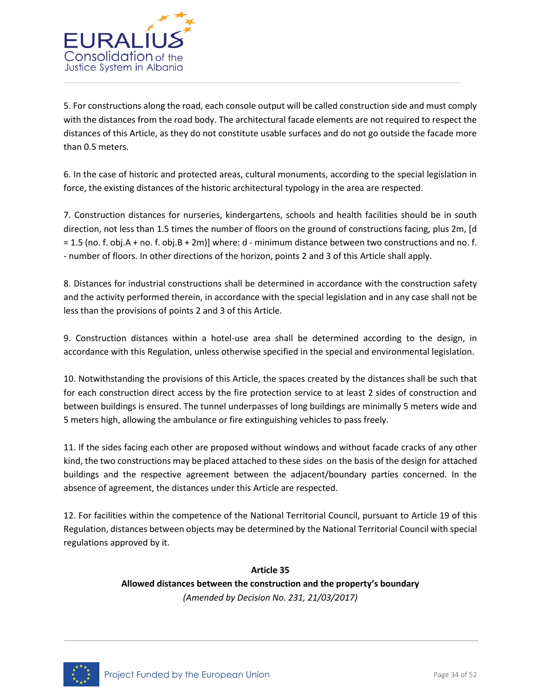

5. For constructions along the road, each console output will be called construction side and must comply with the distances from the road body. The architectural facade elements are not required to respect the distances of this Article, as they do not constitute usable surfaces and do not go outside the facade more than 0.5 meters.

6. In the case of historic and protected areas, cultural monuments, according to the special legislation in force, the existing distances of the historic architectural typology in the area are respected.

7. Construction distances for nurseries, kindergartens, schools and health facilities should be in south direction, not less than 1.5 times the number of floors on the ground of constructions facing, plus 2m, [d = 1.5 (no. f. obj.A + no. f. obj.B + 2m)] where: d - minimum distance between two constructions and no. f. - number of floors. In other directions of the horizon, points 2 and 3 of this Article shall apply.

8. Distances for industrial constructions shall be determined in accordance with the construction safety and the activity performed therein, in accordance with the special legislation and in any case shall not be less than the provisions of points 2 and 3 of this Article.

9. Construction distances within a hotel-use area shall be determined according to the design, in accordance with this Regulation, unless otherwise specified in the special and environmental legislation.

10. Notwithstanding the provisions of this Article, the spaces created by the distances shall be such that for each construction direct access by the fire protection service to at least 2 sides of construction and between buildings is ensured. The tunnel underpasses of long buildings are minimally 5 meters wide and 5 meters high, allowing the ambulance or fire extinguishing vehicles to pass freely.

11. If the sides facing each other are proposed without windows and without facade cracks of any other kind, the two constructions may be placed attached to these sides on the basis of the design for attached buildings and the respective agreement between the adjacent/boundary parties concerned. In the absence of agreement, the distances under this Article are respected.

12. For facilities within the competence of the National Territorial Council, pursuant to Article 19 of this Regulation, distances between objects may be determined by the National Territorial Council with special regulations approved by it.

> **Article 35 Allowed distances between the construction and the property's boundary** *(Amended by Decision No. 231, 21/03/2017)*

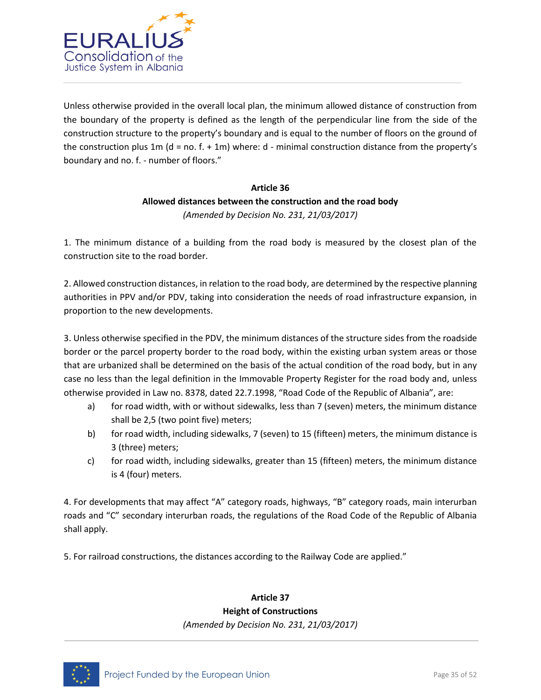

Unless otherwise provided in the overall local plan, the minimum allowed distance of construction from the boundary of the property is defined as the length of the perpendicular line from the side of the construction structure to the property's boundary and is equal to the number of floors on the ground of the construction plus 1m ( $d = no. f. + 1m$ ) where:  $d$  - minimal construction distance from the property's boundary and no. f. - number of floors."

### **Article 36 Allowed distances between the construction and the road body** *(Amended by Decision No. 231, 21/03/2017)*

1. The minimum distance of a building from the road body is measured by the closest plan of the construction site to the road border.

2. Allowed construction distances, in relation to the road body, are determined by the respective planning authorities in PPV and/or PDV, taking into consideration the needs of road infrastructure expansion, in proportion to the new developments.

3. Unless otherwise specified in the PDV, the minimum distances of the structure sides from the roadside border or the parcel property border to the road body, within the existing urban system areas or those that are urbanized shall be determined on the basis of the actual condition of the road body, but in any case no less than the legal definition in the Immovable Property Register for the road body and, unless otherwise provided in Law no. 8378, dated 22.7.1998, "Road Code of the Republic of Albania", are:

- a) for road width, with or without sidewalks, less than 7 (seven) meters, the minimum distance shall be 2,5 (two point five) meters;
- b) for road width, including sidewalks, 7 (seven) to 15 (fifteen) meters, the minimum distance is 3 (three) meters;
- c) for road width, including sidewalks, greater than 15 (fifteen) meters, the minimum distance is 4 (four) meters.

4. For developments that may affect "A" category roads, highways, "B" category roads, main interurban roads and "C" secondary interurban roads, the regulations of the Road Code of the Republic of Albania shall apply.

5. For railroad constructions, the distances according to the Railway Code are applied."

### **Article 37**

### **Height of Constructions**

*(Amended by Decision No. 231, 21/03/2017)*

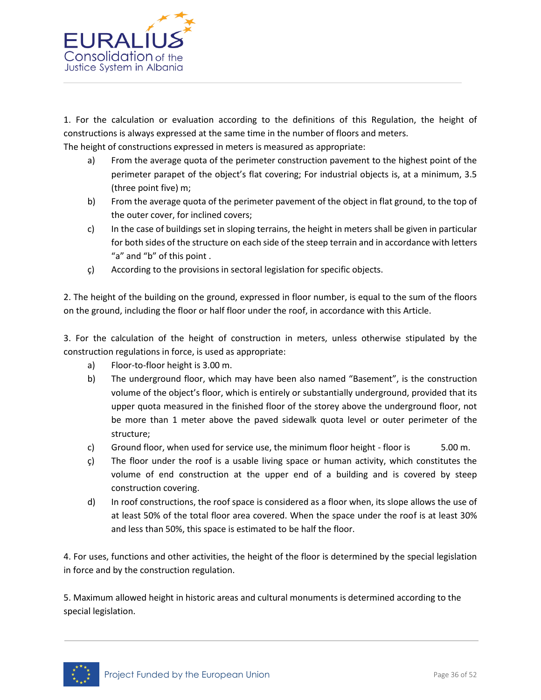

1. For the calculation or evaluation according to the definitions of this Regulation, the height of constructions is always expressed at the same time in the number of floors and meters.

The height of constructions expressed in meters is measured as appropriate:

- a) From the average quota of the perimeter construction pavement to the highest point of the perimeter parapet of the object's flat covering; For industrial objects is, at a minimum, 3.5 (three point five) m;
- b) From the average quota of the perimeter pavement of the object in flat ground, to the top of the outer cover, for inclined covers;
- c) In the case of buildings set in sloping terrains, the height in meters shall be given in particular for both sides of the structure on each side of the steep terrain and in accordance with letters "a" and "b" of this point.
- ç) According to the provisions in sectoral legislation for specific objects.

2. The height of the building on the ground, expressed in floor number, is equal to the sum of the floors on the ground, including the floor or half floor under the roof, in accordance with this Article.

3. For the calculation of the height of construction in meters, unless otherwise stipulated by the construction regulations in force, is used as appropriate:

- a) Floor-to-floor height is 3.00 m.
- b) The underground floor, which may have been also named "Basement", is the construction volume of the object's floor, which is entirely or substantially underground, provided that its upper quota measured in the finished floor of the storey above the underground floor, not be more than 1 meter above the paved sidewalk quota level or outer perimeter of the structure;
- c) Ground floor, when used for service use, the minimum floor height floor is 5.00 m.
- ç) The floor under the roof is a usable living space or human activity, which constitutes the volume of end construction at the upper end of a building and is covered by steep construction covering.
- d) In roof constructions, the roof space is considered as a floor when, its slope allows the use of at least 50% of the total floor area covered. When the space under the roof is at least 30% and less than 50%, this space is estimated to be half the floor.

4. For uses, functions and other activities, the height of the floor is determined by the special legislation in force and by the construction regulation.

5. Maximum allowed height in historic areas and cultural monuments is determined according to the special legislation.

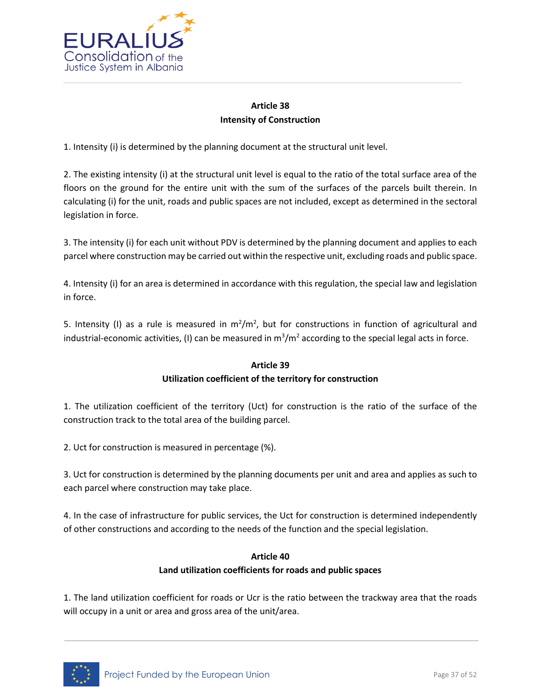

# **Article 38 Intensity of Construction**

1. Intensity (i) is determined by the planning document at the structural unit level.

2. The existing intensity (i) at the structural unit level is equal to the ratio of the total surface area of the floors on the ground for the entire unit with the sum of the surfaces of the parcels built therein. In calculating (i) for the unit, roads and public spaces are not included, except as determined in the sectoral legislation in force.

3. The intensity (i) for each unit without PDV is determined by the planning document and applies to each parcel where construction may be carried out within the respective unit, excluding roads and public space.

4. Intensity (i) for an area is determined in accordance with this regulation, the special law and legislation in force.

5. Intensity (I) as a rule is measured in  $m^2/m^2$ , but for constructions in function of agricultural and industrial-economic activities, (I) can be measured in  $\text{m}^3/\text{m}^2$  according to the special legal acts in force.

### **Article 39 Utilization coefficient of the territory for construction**

1. The utilization coefficient of the territory (Uct) for construction is the ratio of the surface of the construction track to the total area of the building parcel.

2. Uct for construction is measured in percentage (%).

3. Uct for construction is determined by the planning documents per unit and area and applies as such to each parcel where construction may take place.

4. In the case of infrastructure for public services, the Uct for construction is determined independently of other constructions and according to the needs of the function and the special legislation.

### **Article 40**

### **Land utilization coefficients for roads and public spaces**

1. The land utilization coefficient for roads or Ucr is the ratio between the trackway area that the roads will occupy in a unit or area and gross area of the unit/area.

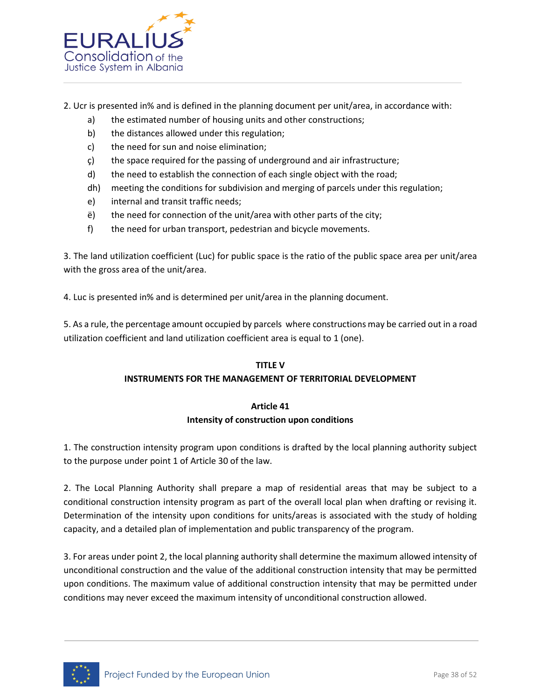

- 2. Ucr is presented in% and is defined in the planning document per unit/area, in accordance with:
	- a) the estimated number of housing units and other constructions;
	- b) the distances allowed under this regulation;
	- c) the need for sun and noise elimination;
	- ç) the space required for the passing of underground and air infrastructure;
	- d) the need to establish the connection of each single object with the road;
	- dh) meeting the conditions for subdivision and merging of parcels under this regulation;
	- e) internal and transit traffic needs;
	- ë) the need for connection of the unit/area with other parts of the city;
	- f) the need for urban transport, pedestrian and bicycle movements.

3. The land utilization coefficient (Luc) for public space is the ratio of the public space area per unit/area with the gross area of the unit/area.

4. Luc is presented in% and is determined per unit/area in the planning document.

5. As a rule, the percentage amount occupied by parcels where constructions may be carried out in a road utilization coefficient and land utilization coefficient area is equal to 1 (one).

### **TITLE V**

### **INSTRUMENTS FOR THE MANAGEMENT OF TERRITORIAL DEVELOPMENT**

### **Article 41 Intensity of construction upon conditions**

1. The construction intensity program upon conditions is drafted by the local planning authority subject to the purpose under point 1 of Article 30 of the law.

2. The Local Planning Authority shall prepare a map of residential areas that may be subject to a conditional construction intensity program as part of the overall local plan when drafting or revising it. Determination of the intensity upon conditions for units/areas is associated with the study of holding capacity, and a detailed plan of implementation and public transparency of the program.

3. For areas under point 2, the local planning authority shall determine the maximum allowed intensity of unconditional construction and the value of the additional construction intensity that may be permitted upon conditions. The maximum value of additional construction intensity that may be permitted under conditions may never exceed the maximum intensity of unconditional construction allowed.

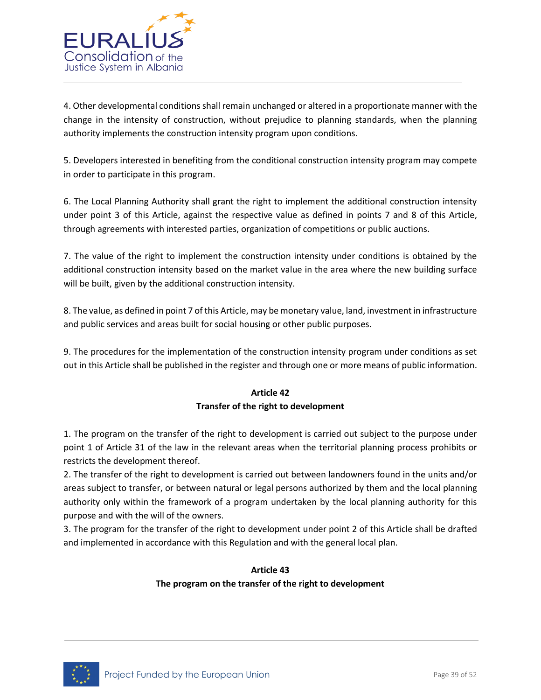

4. Other developmental conditions shall remain unchanged or altered in a proportionate manner with the change in the intensity of construction, without prejudice to planning standards, when the planning authority implements the construction intensity program upon conditions.

5. Developers interested in benefiting from the conditional construction intensity program may compete in order to participate in this program.

6. The Local Planning Authority shall grant the right to implement the additional construction intensity under point 3 of this Article, against the respective value as defined in points 7 and 8 of this Article, through agreements with interested parties, organization of competitions or public auctions.

7. The value of the right to implement the construction intensity under conditions is obtained by the additional construction intensity based on the market value in the area where the new building surface will be built, given by the additional construction intensity.

8. The value, as defined in point 7 of this Article, may be monetary value, land, investment in infrastructure and public services and areas built for social housing or other public purposes.

9. The procedures for the implementation of the construction intensity program under conditions as set out in this Article shall be published in the register and through one or more means of public information.

### **Article 42 Transfer of the right to development**

1. The program on the transfer of the right to development is carried out subject to the purpose under point 1 of Article 31 of the law in the relevant areas when the territorial planning process prohibits or restricts the development thereof.

2. The transfer of the right to development is carried out between landowners found in the units and/or areas subject to transfer, or between natural or legal persons authorized by them and the local planning authority only within the framework of a program undertaken by the local planning authority for this purpose and with the will of the owners.

3. The program for the transfer of the right to development under point 2 of this Article shall be drafted and implemented in accordance with this Regulation and with the general local plan.

# **Article 43 The program on the transfer of the right to development**

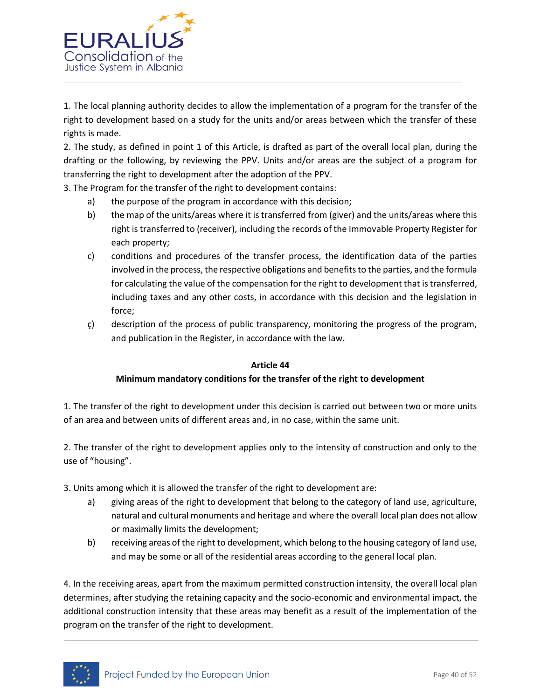

1. The local planning authority decides to allow the implementation of a program for the transfer of the right to development based on a study for the units and/or areas between which the transfer of these rights is made.

2. The study, as defined in point 1 of this Article, is drafted as part of the overall local plan, during the drafting or the following, by reviewing the PPV. Units and/or areas are the subject of a program for transferring the right to development after the adoption of the PPV.

3. The Program for the transfer of the right to development contains:

- a) the purpose of the program in accordance with this decision;
- b) the map of the units/areas where it is transferred from (giver) and the units/areas where this right is transferred to (receiver), including the records of the Immovable Property Register for each property;
- c) conditions and procedures of the transfer process, the identification data of the parties involved in the process, the respective obligations and benefits to the parties, and the formula for calculating the value of the compensation for the right to development that is transferred, including taxes and any other costs, in accordance with this decision and the legislation in force;
- ç) description of the process of public transparency, monitoring the progress of the program, and publication in the Register, in accordance with the law.

### **Article 44**

### **Minimum mandatory conditions for the transfer of the right to development**

1. The transfer of the right to development under this decision is carried out between two or more units of an area and between units of different areas and, in no case, within the same unit.

2. The transfer of the right to development applies only to the intensity of construction and only to the use of "housing".

- 3. Units among which it is allowed the transfer of the right to development are:
	- a) giving areas of the right to development that belong to the category of land use, agriculture, natural and cultural monuments and heritage and where the overall local plan does not allow or maximally limits the development;
	- b) receiving areas of the right to development, which belong to the housing category of land use, and may be some or all of the residential areas according to the general local plan.

4. In the receiving areas, apart from the maximum permitted construction intensity, the overall local plan determines, after studying the retaining capacity and the socio-economic and environmental impact, the additional construction intensity that these areas may benefit as a result of the implementation of the program on the transfer of the right to development.

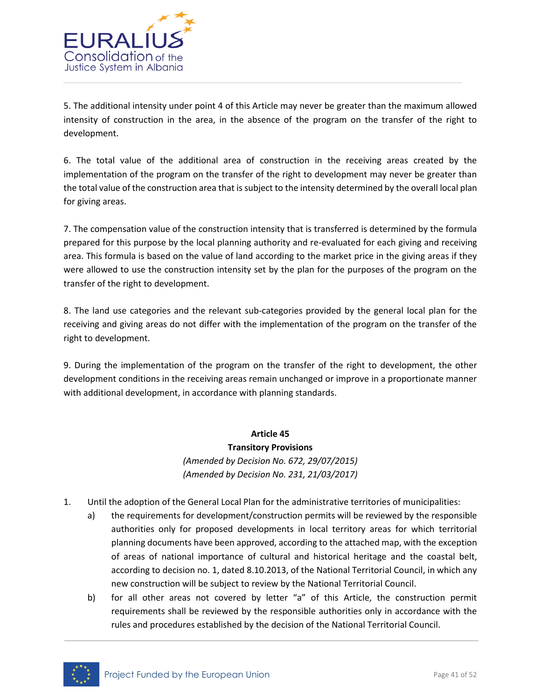

5. The additional intensity under point 4 of this Article may never be greater than the maximum allowed intensity of construction in the area, in the absence of the program on the transfer of the right to development.

6. The total value of the additional area of construction in the receiving areas created by the implementation of the program on the transfer of the right to development may never be greater than the total value of the construction area that is subject to the intensity determined by the overall local plan for giving areas.

7. The compensation value of the construction intensity that is transferred is determined by the formula prepared for this purpose by the local planning authority and re-evaluated for each giving and receiving area. This formula is based on the value of land according to the market price in the giving areas if they were allowed to use the construction intensity set by the plan for the purposes of the program on the transfer of the right to development.

8. The land use categories and the relevant sub-categories provided by the general local plan for the receiving and giving areas do not differ with the implementation of the program on the transfer of the right to development.

9. During the implementation of the program on the transfer of the right to development, the other development conditions in the receiving areas remain unchanged or improve in a proportionate manner with additional development, in accordance with planning standards.

### **Article 45**

# **Transitory Provisions**

*(Amended by Decision No. 672, 29/07/2015) (Amended by Decision No. 231, 21/03/2017)*

- 1. Until the adoption of the General Local Plan for the administrative territories of municipalities:
	- a) the requirements for development/construction permits will be reviewed by the responsible authorities only for proposed developments in local territory areas for which territorial planning documents have been approved, according to the attached map, with the exception of areas of national importance of cultural and historical heritage and the coastal belt, according to decision no. 1, dated 8.10.2013, of the National Territorial Council, in which any new construction will be subject to review by the National Territorial Council.
	- b) for all other areas not covered by letter "a" of this Article, the construction permit requirements shall be reviewed by the responsible authorities only in accordance with the rules and procedures established by the decision of the National Territorial Council.

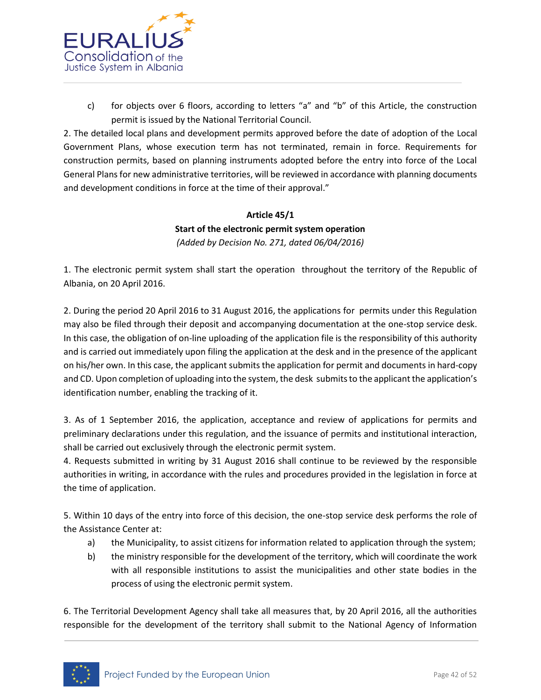

c) for objects over 6 floors, according to letters "a" and "b" of this Article, the construction permit is issued by the National Territorial Council.

2. The detailed local plans and development permits approved before the date of adoption of the Local Government Plans, whose execution term has not terminated, remain in force. Requirements for construction permits, based on planning instruments adopted before the entry into force of the Local General Plans for new administrative territories, will be reviewed in accordance with planning documents and development conditions in force at the time of their approval."

# **Article 45/1 Start of the electronic permit system operation** *(Added by Decision No. 271, dated 06/04/2016)*

1. The electronic permit system shall start the operation throughout the territory of the Republic of Albania, on 20 April 2016.

2. During the period 20 April 2016 to 31 August 2016, the applications for permits under this Regulation may also be filed through their deposit and accompanying documentation at the one-stop service desk. In this case, the obligation of on-line uploading of the application file is the responsibility of this authority and is carried out immediately upon filing the application at the desk and in the presence of the applicant on his/her own. In this case, the applicant submits the application for permit and documents in hard-copy and CD. Upon completion of uploading into the system, the desk submits to the applicant the application's identification number, enabling the tracking of it.

3. As of 1 September 2016, the application, acceptance and review of applications for permits and preliminary declarations under this regulation, and the issuance of permits and institutional interaction, shall be carried out exclusively through the electronic permit system.

4. Requests submitted in writing by 31 August 2016 shall continue to be reviewed by the responsible authorities in writing, in accordance with the rules and procedures provided in the legislation in force at the time of application.

5. Within 10 days of the entry into force of this decision, the one-stop service desk performs the role of the Assistance Center at:

- a) the Municipality, to assist citizens for information related to application through the system;
- b) the ministry responsible for the development of the territory, which will coordinate the work with all responsible institutions to assist the municipalities and other state bodies in the process of using the electronic permit system.

6. The Territorial Development Agency shall take all measures that, by 20 April 2016, all the authorities responsible for the development of the territory shall submit to the National Agency of Information

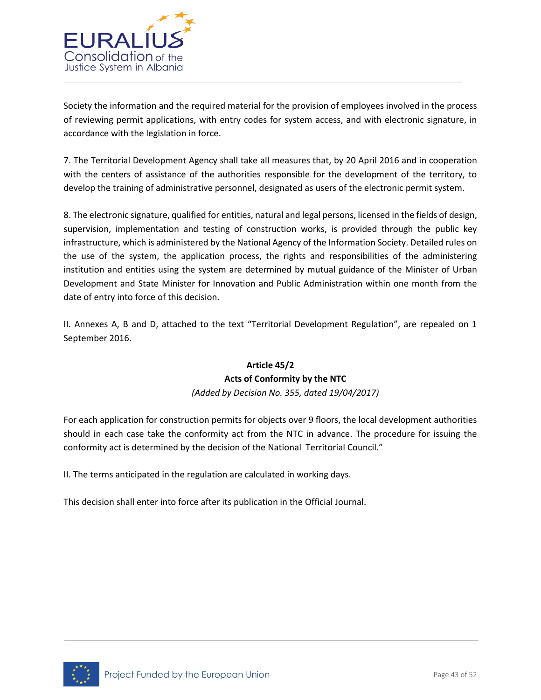

Society the information and the required material for the provision of employees involved in the process of reviewing permit applications, with entry codes for system access, and with electronic signature, in accordance with the legislation in force.

7. The Territorial Development Agency shall take all measures that, by 20 April 2016 and in cooperation with the centers of assistance of the authorities responsible for the development of the territory, to develop the training of administrative personnel, designated as users of the electronic permit system.

8. The electronic signature, qualified for entities, natural and legal persons, licensed in the fields of design, supervision, implementation and testing of construction works, is provided through the public key infrastructure, which is administered by the National Agency of the Information Society. Detailed rules on the use of the system, the application process, the rights and responsibilities of the administering institution and entities using the system are determined by mutual guidance of the Minister of Urban Development and State Minister for Innovation and Public Administration within one month from the date of entry into force of this decision.

II. Annexes A, B and D, attached to the text "Territorial Development Regulation", are repealed on 1 September 2016.

# **Article 45/2 Acts of Conformity by the NTC**

*(Added by Decision No. 355, dated 19/04/2017)*

For each application for construction permits for objects over 9 floors, the local development authorities should in each case take the conformity act from the NTC in advance. The procedure for issuing the conformity act is determined by the decision of the National Territorial Council."

II. The terms anticipated in the regulation are calculated in working days.

This decision shall enter into force after its publication in the Official Journal.

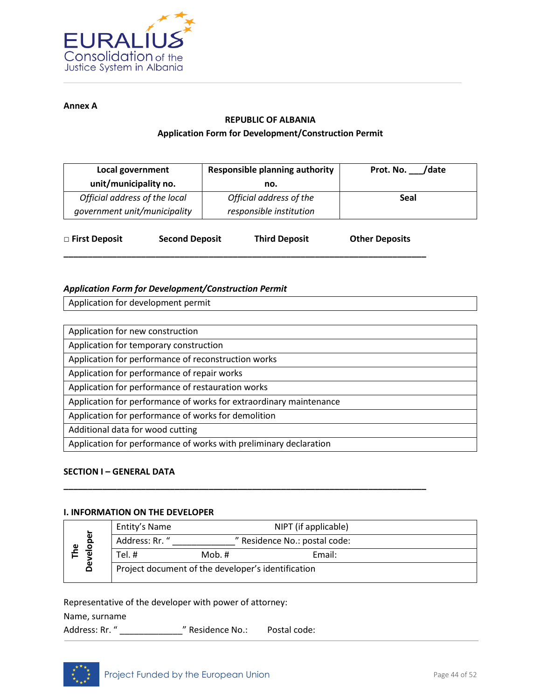

**Annex A**

#### **REPUBLIC OF ALBANIA**

### **Application Form for Development/Construction Permit**

| Local government                                              |                       | <b>Responsible planning authority</b>              | Prot. No. /date       |
|---------------------------------------------------------------|-----------------------|----------------------------------------------------|-----------------------|
| unit/municipality no.                                         |                       | no.                                                |                       |
| Official address of the local<br>government unit/municipality |                       | Official address of the<br>responsible institution | <b>Seal</b>           |
| □ First Deposit                                               | <b>Second Deposit</b> | <b>Third Deposit</b>                               | <b>Other Deposits</b> |

**\_\_\_\_\_\_\_\_\_\_\_\_\_\_\_\_\_\_\_\_\_\_\_\_\_\_\_\_\_\_\_\_\_\_\_\_\_\_\_\_\_\_\_\_\_\_\_\_\_\_\_\_\_\_\_\_\_\_\_\_\_\_\_\_\_\_\_\_\_\_\_\_\_\_\_**

### *Application Form for Development/Construction Permit*

Application for development permit

Application for new construction

Application for temporary construction

Application for performance of reconstruction works

Application for performance of repair works

Application for performance of restauration works

Application for performance of works for extraordinary maintenance

Application for performance of works for demolition

Additional data for wood cutting

Application for performance of works with preliminary declaration

### **SECTION I – GENERAL DATA**

### **I. INFORMATION ON THE DEVELOPER**

| ber<br>$\frac{1}{9}$<br>Φ<br>å |  | Entity's Name                                      |          | NIPT (if applicable)          |  |
|--------------------------------|--|----------------------------------------------------|----------|-------------------------------|--|
|                                |  | Address: Rr. "                                     |          | " Residence No.: postal code: |  |
|                                |  | Tel. #                                             | Mob. $#$ | Email:                        |  |
|                                |  | Project document of the developer's identification |          |                               |  |

**\_\_\_\_\_\_\_\_\_\_\_\_\_\_\_\_\_\_\_\_\_\_\_\_\_\_\_\_\_\_\_\_\_\_\_\_\_\_\_\_\_\_\_\_\_\_\_\_\_\_\_\_\_\_\_\_\_\_\_\_\_\_\_\_\_\_\_\_\_\_\_\_\_\_\_**

Representative of the developer with power of attorney:

Name, surname

Address: Rr. " \_\_\_\_\_\_\_\_\_\_\_\_\_\_\_\_\_" Residence No.: Postal code:

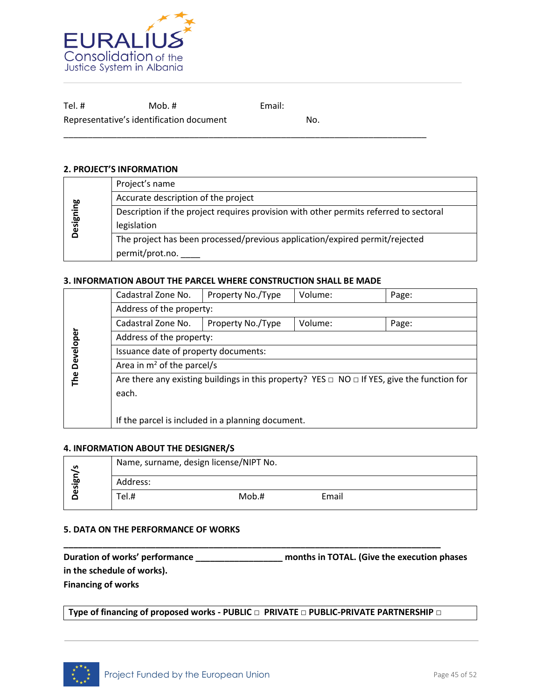

Tel. # Mob. # Email: Representative's identification document No.

### **2. PROJECT'S INFORMATION**

|           | Project's name                                                                        |  |  |
|-----------|---------------------------------------------------------------------------------------|--|--|
|           | Accurate description of the project                                                   |  |  |
|           | Description if the project requires provision with other permits referred to sectoral |  |  |
| Designing | legislation                                                                           |  |  |
|           | The project has been processed/previous application/expired permit/rejected           |  |  |
|           | permit/prot.no. ____                                                                  |  |  |

\_\_\_\_\_\_\_\_\_\_\_\_\_\_\_\_\_\_\_\_\_\_\_\_\_\_\_\_\_\_\_\_\_\_\_\_\_\_\_\_\_\_\_\_\_\_\_\_\_\_\_\_\_\_\_\_\_\_\_\_\_\_\_\_\_\_\_\_\_\_\_\_\_\_\_

### **3. INFORMATION ABOUT THE PARCEL WHERE CONSTRUCTION SHALL BE MADE**

| Cadastral Zone No.<br>Property No./Type<br>Volume:<br>Page:                                           |                   |         |       |  |
|-------------------------------------------------------------------------------------------------------|-------------------|---------|-------|--|
| Address of the property:                                                                              |                   |         |       |  |
| Cadastral Zone No.                                                                                    | Property No./Type | Volume: | Page: |  |
| Address of the property:                                                                              |                   |         |       |  |
| Issuance date of property documents:                                                                  |                   |         |       |  |
| Area in $m^2$ of the parcel/s                                                                         |                   |         |       |  |
| Are there any existing buildings in this property? YES $\Box$ NO $\Box$ If YES, give the function for |                   |         |       |  |
| each.                                                                                                 |                   |         |       |  |
|                                                                                                       |                   |         |       |  |
| If the parcel is included in a planning document.                                                     |                   |         |       |  |
|                                                                                                       |                   |         |       |  |

### **4. INFORMATION ABOUT THE DESIGNER/S**

| ທ     |          | Name, surname, design license/NIPT No. |       |  |
|-------|----------|----------------------------------------|-------|--|
| esign | Address: |                                        |       |  |
|       | Tel.#    | Mob.#                                  | Email |  |

### **5. DATA ON THE PERFORMANCE OF WORKS**

| Duration of works' performance | months in TOTAL. (Give the execution phases |  |
|--------------------------------|---------------------------------------------|--|
| in the schedule of works).     |                                             |  |
| <b>Financing of works</b>      |                                             |  |

**Type of financing of proposed works - PUBLIC □ PRIVATE □ PUBLIC-PRIVATE PARTNERSHIP □**

**\_\_\_\_\_\_\_\_\_\_\_\_\_\_\_\_\_\_\_\_\_\_\_\_\_\_\_\_\_\_\_\_\_\_\_\_\_\_\_\_\_\_\_\_\_\_\_\_\_\_\_\_\_\_\_\_\_\_\_\_\_\_\_\_\_\_\_\_\_\_\_\_\_\_\_\_\_\_** 

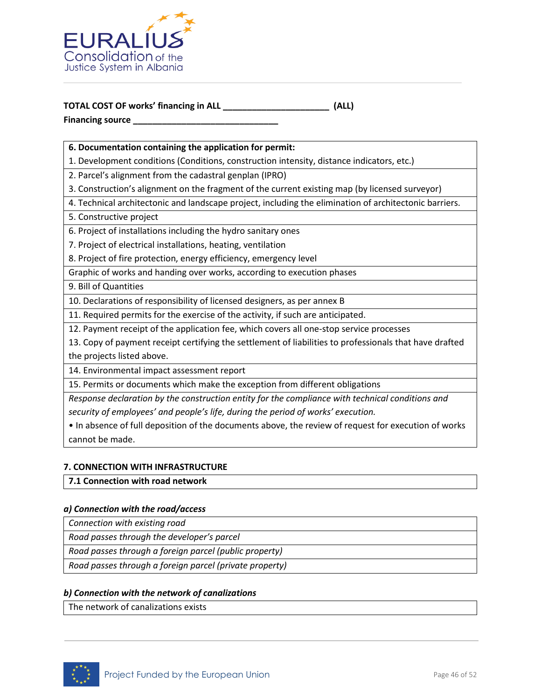

### **TOTAL COST OF works' financing in ALL \_\_\_\_\_\_\_\_\_\_\_\_\_\_\_\_\_\_\_\_\_\_ (ALL) Financing source \_\_\_\_\_\_\_\_\_\_\_\_\_\_\_\_\_\_\_\_\_\_\_\_\_\_\_\_\_\_**

### **6. Documentation containing the application for permit:**

1. Development conditions (Conditions, construction intensity, distance indicators, etc.)

2. Parcel's alignment from the cadastral genplan (IPRO)

3. Construction's alignment on the fragment of the current existing map (by licensed surveyor)

4. Technical architectonic and landscape project, including the elimination of architectonic barriers.

5. Constructive project

6. Project of installations including the hydro sanitary ones

7. Project of electrical installations, heating, ventilation

8. Project of fire protection, energy efficiency, emergency level

Graphic of works and handing over works, according to execution phases

9. Bill of Quantities

10. Declarations of responsibility of licensed designers, as per annex B

11. Required permits for the exercise of the activity, if such are anticipated.

12. Payment receipt of the application fee, which covers all one-stop service processes

13. Copy of payment receipt certifying the settlement of liabilities to professionals that have drafted the projects listed above.

14. Environmental impact assessment report

15. Permits or documents which make the exception from different obligations

*Response declaration by the construction entity for the compliance with technical conditions and security of employees' and people's life, during the period of works' execution.*

• In absence of full deposition of the documents above, the review of request for execution of works cannot be made.

### **7. CONNECTION WITH INFRASTRUCTURE**

**7.1 Connection with road network** 

#### *a) Connection with the road/access*

*Connection with existing road*

*Road passes through the developer's parcel*

*Road passes through a foreign parcel (public property)*

*Road passes through a foreign parcel (private property)*

### *b) Connection with the network of canalizations*

The network of canalizations exists

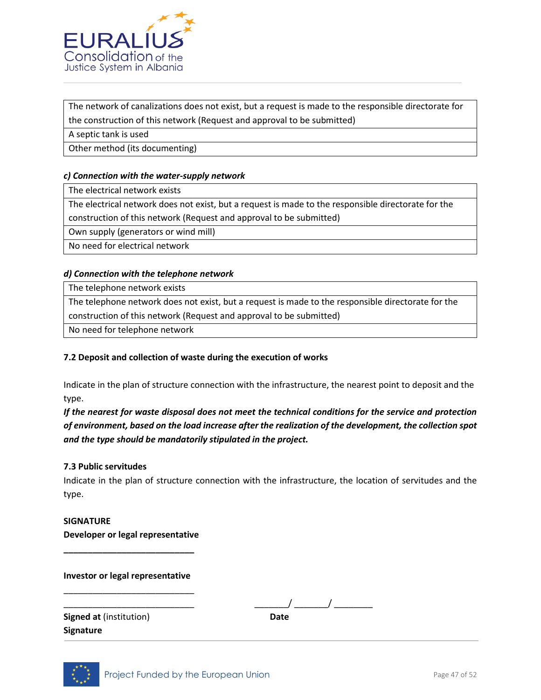

The network of canalizations does not exist, but a request is made to the responsible directorate for the construction of this network (Request and approval to be submitted)

A septic tank is used

Other method (its documenting)

### *c) Connection with the water-supply network*

The electrical network exists

The electrical network does not exist, but a request is made to the responsible directorate for the construction of this network (Request and approval to be submitted)

Own supply (generators or wind mill)

No need for electrical network

### *d) Connection with the telephone network*

The telephone network exists

The telephone network does not exist, but a request is made to the responsible directorate for the

construction of this network (Request and approval to be submitted)

No need for telephone network

### **7.2 Deposit and collection of waste during the execution of works**

Indicate in the plan of structure connection with the infrastructure, the nearest point to deposit and the type.

*If the nearest for waste disposal does not meet the technical conditions for the service and protection of environment, based on the load increase after the realization of the development, the collection spot and the type should be mandatorily stipulated in the project.* 

### **7.3 Public servitudes**

Indicate in the plan of structure connection with the infrastructure, the location of servitudes and the type.

**SIGNATURE Developer or legal representative** 

**\_\_\_\_\_\_\_\_\_\_\_\_\_\_\_\_\_\_\_\_\_\_\_\_\_\_\_** 

**Investor or legal representative** \_\_\_\_\_\_\_\_\_\_\_\_\_\_\_\_\_\_\_\_\_\_\_\_\_\_\_

\_\_\_\_\_\_\_\_\_\_\_\_\_\_\_\_\_\_\_\_\_\_\_\_\_\_\_ \_\_\_\_\_\_\_/ \_\_\_\_\_\_\_/ \_\_\_\_\_\_\_\_

**Signed at** (institution) **Date Signature**

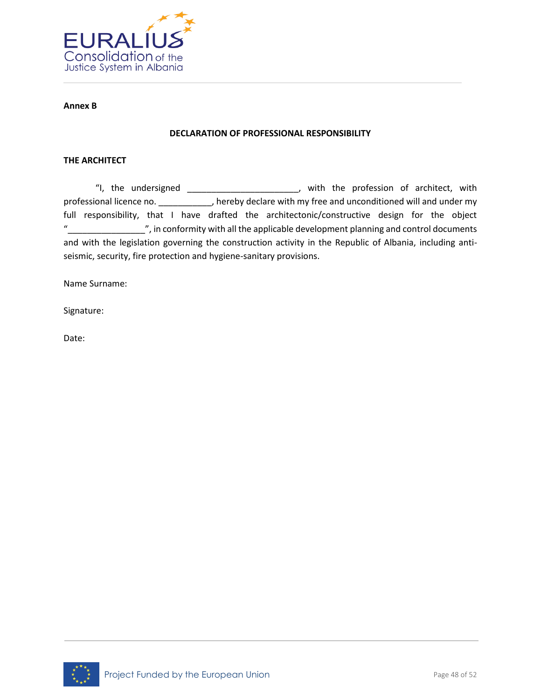

#### **Annex B**

#### **DECLARATION OF PROFESSIONAL RESPONSIBILITY**

#### **THE ARCHITECT**

"I, the undersigned \_\_\_\_\_\_\_\_\_\_\_\_\_\_\_\_\_\_\_\_\_\_\_, with the profession of architect, with professional licence no. \_\_\_\_\_\_\_\_\_\_\_, hereby declare with my free and unconditioned will and under my full responsibility, that I have drafted the architectonic/constructive design for the object "\_\_\_\_\_\_\_\_\_\_\_\_\_\_\_\_", in conformity with all the applicable development planning and control documents and with the legislation governing the construction activity in the Republic of Albania, including antiseismic, security, fire protection and hygiene-sanitary provisions.

Name Surname:

Signature:

Date:

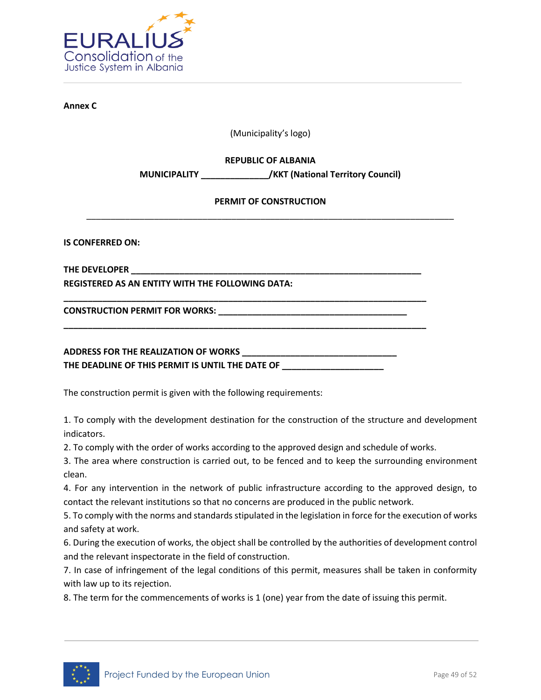

**Annex C**

(Municipality's logo)

**REPUBLIC OF ALBANIA**

**MUNICIPALITY \_\_\_\_\_\_\_\_\_\_\_\_\_\_/KKT (National Territory Council)**

### **PERMIT OF CONSTRUCTION** \_\_\_\_\_\_\_\_\_\_\_\_\_\_\_\_\_\_\_\_\_\_\_\_\_\_\_\_\_\_\_\_\_\_\_\_\_\_\_\_\_\_\_\_\_\_\_\_\_\_\_\_\_\_\_\_\_\_\_\_\_\_\_\_\_\_\_\_\_\_\_\_\_\_\_\_

**IS CONFERRED ON:** 

**THE DEVELOPER \_\_\_\_\_\_\_\_\_\_\_\_\_\_\_\_\_\_\_\_\_\_\_\_\_\_\_\_\_\_\_\_\_\_\_\_\_\_\_\_\_\_\_\_\_\_\_\_\_\_\_\_\_\_\_\_\_\_\_\_ REGISTERED AS AN ENTITY WITH THE FOLLOWING DATA:**

CONSTRUCTION PERMIT FOR WORKS: \_\_\_\_\_\_\_\_\_\_\_\_\_\_

### **ADDRESS FOR THE REALIZATION OF WORKS \_\_\_\_\_\_\_\_\_\_\_\_\_\_\_\_\_\_\_\_\_\_\_\_\_\_\_\_\_\_\_\_**  THE DEADLINE OF THIS PERMIT IS UNTIL THE DATE OF

**\_\_\_\_\_\_\_\_\_\_\_\_\_\_\_\_\_\_\_\_\_\_\_\_\_\_\_\_\_\_\_\_\_\_\_\_\_\_\_\_\_\_\_\_\_\_\_\_\_\_\_\_\_\_\_\_\_\_\_\_\_\_\_\_\_\_\_\_\_\_\_\_\_\_\_** 

**\_\_\_\_\_\_\_\_\_\_\_\_\_\_\_\_\_\_\_\_\_\_\_\_\_\_\_\_\_\_\_\_\_\_\_\_\_\_\_\_\_\_\_\_\_\_\_\_\_\_\_\_\_\_\_\_\_\_\_\_\_\_\_\_\_\_\_\_\_\_\_\_\_\_\_**

The construction permit is given with the following requirements:

1. To comply with the development destination for the construction of the structure and development indicators.

2. To comply with the order of works according to the approved design and schedule of works.

3. The area where construction is carried out, to be fenced and to keep the surrounding environment clean.

4. For any intervention in the network of public infrastructure according to the approved design, to contact the relevant institutions so that no concerns are produced in the public network.

5. To comply with the norms and standards stipulated in the legislation in force for the execution of works and safety at work.

6. During the execution of works, the object shall be controlled by the authorities of development control and the relevant inspectorate in the field of construction.

7. In case of infringement of the legal conditions of this permit, measures shall be taken in conformity with law up to its rejection.

8. The term for the commencements of works is 1 (one) year from the date of issuing this permit.

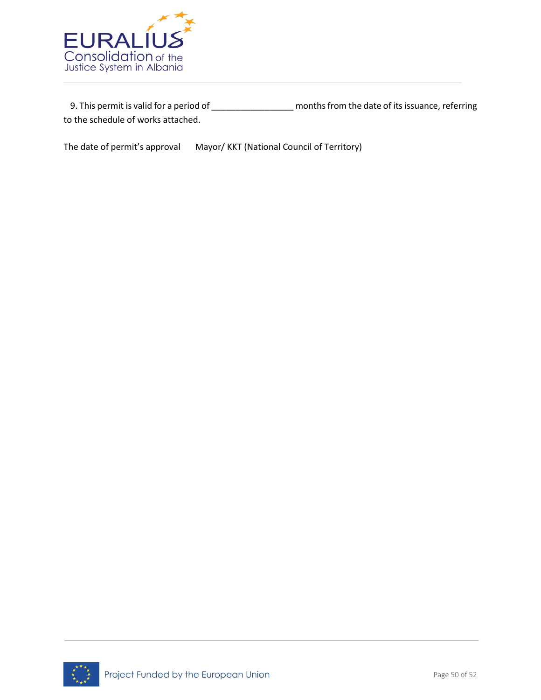

 9. This permit is valid for a period of \_\_\_\_\_\_\_\_\_\_\_\_\_\_\_\_\_ months from the date of its issuance, referring to the schedule of works attached.

The date of permit's approval Mayor/ KKT (National Council of Territory)

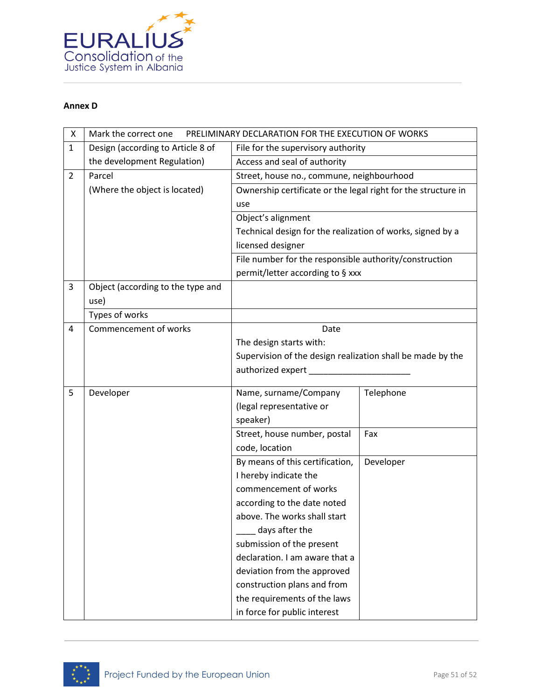

#### **Annex D**

| X              | PRELIMINARY DECLARATION FOR THE EXECUTION OF WORKS<br>Mark the correct one |                                                               |           |  |
|----------------|----------------------------------------------------------------------------|---------------------------------------------------------------|-----------|--|
| $\mathbf{1}$   | Design (according to Article 8 of                                          | File for the supervisory authority                            |           |  |
|                | the development Regulation)                                                | Access and seal of authority                                  |           |  |
| $\overline{2}$ | Parcel                                                                     | Street, house no., commune, neighbourhood                     |           |  |
|                | (Where the object is located)                                              | Ownership certificate or the legal right for the structure in |           |  |
|                |                                                                            | use                                                           |           |  |
|                |                                                                            | Object's alignment                                            |           |  |
|                |                                                                            | Technical design for the realization of works, signed by a    |           |  |
|                |                                                                            | licensed designer                                             |           |  |
|                |                                                                            | File number for the responsible authority/construction        |           |  |
|                |                                                                            | permit/letter according to § xxx                              |           |  |
| 3              | Object (according to the type and                                          |                                                               |           |  |
|                | use)                                                                       |                                                               |           |  |
|                | Types of works                                                             |                                                               |           |  |
| 4              | Commencement of works                                                      | Date                                                          |           |  |
|                |                                                                            | The design starts with:                                       |           |  |
|                |                                                                            | Supervision of the design realization shall be made by the    |           |  |
|                |                                                                            | authorized expert                                             |           |  |
| 5              | Developer                                                                  | Name, surname/Company                                         | Telephone |  |
|                |                                                                            | (legal representative or                                      |           |  |
|                |                                                                            | speaker)                                                      |           |  |
|                |                                                                            | Street, house number, postal                                  | Fax       |  |
|                |                                                                            | code, location                                                |           |  |
|                |                                                                            | By means of this certification,                               | Developer |  |
|                |                                                                            | I hereby indicate the                                         |           |  |
|                |                                                                            | commencement of works                                         |           |  |
|                |                                                                            | according to the date noted                                   |           |  |
|                |                                                                            | above. The works shall start                                  |           |  |
|                |                                                                            | days after the                                                |           |  |
|                |                                                                            | submission of the present                                     |           |  |
|                |                                                                            | declaration. I am aware that a                                |           |  |
|                |                                                                            | deviation from the approved                                   |           |  |
|                |                                                                            | construction plans and from                                   |           |  |
|                |                                                                            | the requirements of the laws                                  |           |  |
|                |                                                                            | in force for public interest                                  |           |  |